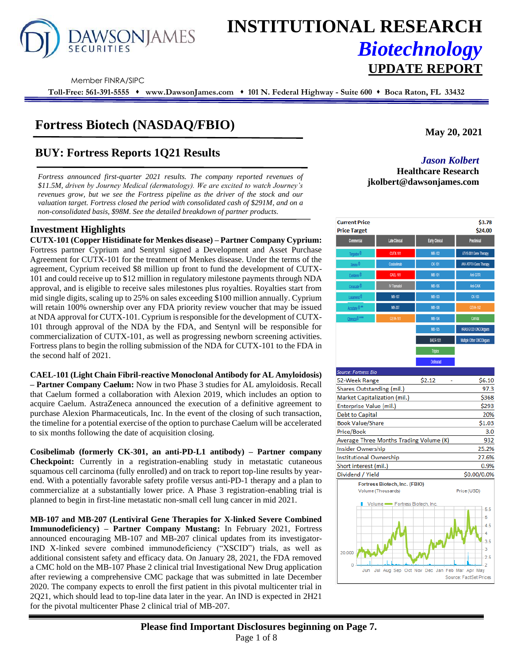# **AWSONJAMES**

## **INSTITUTIONAL RESEARCH** *Biotechnology* **UPDATE REPORT**

Member FINRA/SIPC

**Toll-Free: 561-391-5555** ⬧ **www.DawsonJames.com** ⬧ **101 N. Federal Highway - Suite 600** ⬧ **Boca Raton, FL 33432**

## **Fortress Biotech (NASDAQ/FBIO)**

## **BUY: Fortress Reports 1Q21 Results** *Jason Kolbert*

*Fortress announced first-quarter 2021 results. The company reported revenues of \$11.5M, driven by Journey Medical (dermatology). We are excited to watch Journey's revenues grow, but we see the Fortress pipeline as the driver of the stock and our valuation target. Fortress closed the period with consolidated cash of \$291M, and on a non-consolidated basis, \$98M. See the detailed breakdown of partner products.*

#### **Investment Highlights**

**CUTX-101 (Copper Histidinate for Menkes disease) – Partner Company Cyprium:**  Fortress partner Cyprium and Sentynl signed a Development and Asset Purchase Agreement for CUTX-101 for the treatment of Menkes disease. Under the terms of the agreement, Cyprium received \$8 million up front to fund the development of CUTX-101 and could receive up to \$12 million in regulatory milestone payments through NDA approval, and is eligible to receive sales milestones plus royalties. Royalties start from mid single digits, scaling up to 25% on sales exceeding \$100 million annually. Cyprium will retain 100% ownership over any FDA priority review voucher that may be issued at NDA approval for CUTX-101. Cyprium is responsible for the development of CUTX-101 through approval of the NDA by the FDA, and Sentynl will be responsible for commercialization of CUTX-101, as well as progressing newborn screening activities. Fortress plans to begin the rolling submission of the NDA for CUTX-101 to the FDA in the second half of 2021.

**CAEL-101 (Light Chain Fibril-reactive Monoclonal Antibody for AL Amyloidosis)**

**– Partner Company Caelum:** Now in two Phase 3 studies for AL amyloidosis. Recall that Caelum formed a collaboration with Alexion 2019, which includes an option to acquire Caelum. AstraZeneca announced the execution of a definitive agreement to purchase Alexion Pharmaceuticals, Inc. In the event of the closing of such transaction, the timeline for a potential exercise of the option to purchase Caelum will be accelerated to six months following the date of acquisition closing.

**Cosibelimab (formerly CK-301, an anti-PD-L1 antibody) – Partner company Checkpoint:** Currently in a registration-enabling study in metastatic cutaneous squamous cell carcinoma (fully enrolled) and on track to report top-line results by yearend. With a potentially favorable safety profile versus anti-PD-1 therapy and a plan to commercialize at a substantially lower price. A Phase 3 registration-enabling trial is planned to begin in first-line metastatic non-small cell lung cancer in mid 2021.

**MB-107 and MB-207 (Lentiviral Gene Therapies for X-linked Severe Combined Immunodeficiency) – Partner Company Mustang:** In February 2021, Fortress announced encouraging MB-107 and MB-207 clinical updates from its investigator-IND X-linked severe combined immunodeficiency ("XSCID") trials, as well as additional consistent safety and efficacy data. On January 28, 2021, the FDA removed a CMC hold on the MB-107 Phase 2 clinical trial Investigational New Drug application after reviewing a comprehensive CMC package that was submitted in late December 2020. The company expects to enroll the first patient in this pivotal multicenter trial in 2Q21, which should lead to top-line data later in the year. An IND is expected in 2H21 for the pivotal multicenter Phase 2 clinical trial of MB-207.

**May 20, 2021**

**Healthcare Research jkolbert@dawsonjames.com**

| <b>Current Price</b><br><b>Price Target</b> |                      |                 | \$3.78<br>\$24.00             |
|---------------------------------------------|----------------------|-----------------|-------------------------------|
| <b>Commercial</b>                           | <b>Late Clinical</b> | Early Clinical  | <b>Preclinical</b>            |
| Targadox <sup>®</sup>                       | <b>CUTX-101</b>      | MB-102          | ATVS-001 Gene Therapy         |
| Xmino <sup>®</sup>                          | Cosbelimab           | <b>CK-101</b>   | <b>AAV-ATP7A Gene Therapy</b> |
| Exelderm <sup>®</sup>                       | CAEL-101             | MB-101          | Anti-GITR                     |
| Ceracade <sup>®</sup>                       | IV Tramadol          | MB-106          | <b>Anti-CAIX</b>              |
| Lucamend <sup>®</sup>                       | MB-107               | MB-103          | CK-103                        |
| Accutane <sup>®**</sup>                     | MB 207               | MB-108          | <b>CEVA-102</b>               |
| Qbrexza © ***                               | <b>CEVA-101</b>      | MB-104          | <b>ConVax</b>                 |
|                                             |                      | MB-105          | KRAS G12D ONCOlogues          |
|                                             |                      | <b>BAER-101</b> | Multple Other ONCOlogues      |
|                                             |                      | <b>Triplex</b>  |                               |
|                                             |                      | <b>Drinizat</b> |                               |

| <b>Source: Fortress Bio</b>             |        |             |
|-----------------------------------------|--------|-------------|
| 52-Week Range                           | \$2.12 | \$6.10      |
| Shares Outstanding (mil.)               |        | 97.3        |
| Market Capitalization (mil.)            |        | \$368       |
| Enterprise Value (mil.)                 |        | \$293       |
| Debt to Capital                         |        | 20%         |
| <b>Book Value/Share</b>                 |        | \$1.03      |
| Price/Book                              |        | 3.0         |
| Average Three Months Trading Volume (K) |        | 932         |
| Insider Ownership                       |        | 25.2%       |
| <b>Institutional Ownership</b>          |        | 27.6%       |
| Short interest (mil.)                   |        | 0.9%        |
| Dividend / Yield                        |        | \$0.00/0.0% |

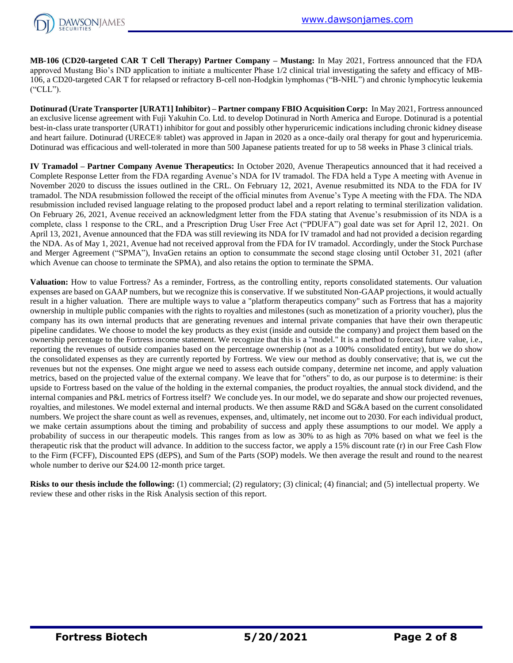

**MB-106 (CD20-targeted CAR T Cell Therapy) Partner Company – Mustang:** In May 2021, Fortress announced that the FDA approved Mustang Bio's IND application to initiate a multicenter Phase 1/2 clinical trial investigating the safety and efficacy of MB-106, a CD20-targeted CAR T for relapsed or refractory B-cell non-Hodgkin lymphomas ("B-NHL") and chronic lymphocytic leukemia ("CLL").

**Dotinurad (Urate Transporter [URAT1] Inhibitor) – Partner company FBIO Acquisition Corp:** In May 2021, Fortress announced an exclusive license agreement with Fuji Yakuhin Co. Ltd. to develop Dotinurad in North America and Europe. Dotinurad is a potential best-in-class urate transporter (URAT1) inhibitor for gout and possibly other hyperuricemic indications including chronic kidney disease and heart failure. Dotinurad (URECE® tablet) was approved in Japan in 2020 as a once-daily oral therapy for gout and hyperuricemia. Dotinurad was efficacious and well-tolerated in more than 500 Japanese patients treated for up to 58 weeks in Phase 3 clinical trials.

**IV Tramadol – Partner Company Avenue Therapeutics:** In October 2020, Avenue Therapeutics announced that it had received a Complete Response Letter from the FDA regarding Avenue's NDA for IV tramadol. The FDA held a Type A meeting with Avenue in November 2020 to discuss the issues outlined in the CRL. On February 12, 2021, Avenue resubmitted its NDA to the FDA for IV tramadol. The NDA resubmission followed the receipt of the official minutes from Avenue's Type A meeting with the FDA. The NDA resubmission included revised language relating to the proposed product label and a report relating to terminal sterilization validation. On February 26, 2021, Avenue received an acknowledgment letter from the FDA stating that Avenue's resubmission of its NDA is a complete, class 1 response to the CRL, and a Prescription Drug User Free Act ("PDUFA") goal date was set for April 12, 2021. On April 13, 2021, Avenue announced that the FDA was still reviewing its NDA for IV tramadol and had not provided a decision regarding the NDA. As of May 1, 2021, Avenue had not received approval from the FDA for IV tramadol. Accordingly, under the Stock Purchase and Merger Agreement ("SPMA"), InvaGen retains an option to consummate the second stage closing until October 31, 2021 (after which Avenue can choose to terminate the SPMA), and also retains the option to terminate the SPMA.

**Valuation:** How to value Fortress? As a reminder, Fortress, as the controlling entity, reports consolidated statements. Our valuation expenses are based on GAAP numbers, but we recognize this is conservative. If we substituted Non-GAAP projections, it would actually result in a higher valuation. There are multiple ways to value a "platform therapeutics company" such as Fortress that has a majority ownership in multiple public companies with the rights to royalties and milestones (such as monetization of a priority voucher), plus the company has its own internal products that are generating revenues and internal private companies that have their own therapeutic pipeline candidates. We choose to model the key products as they exist (inside and outside the company) and project them based on the ownership percentage to the Fortress income statement. We recognize that this is a "model." It is a method to forecast future value, i.e., reporting the revenues of outside companies based on the percentage ownership (not as a 100% consolidated entity), but we do show the consolidated expenses as they are currently reported by Fortress. We view our method as doubly conservative; that is, we cut the revenues but not the expenses. One might argue we need to assess each outside company, determine net income, and apply valuation metrics, based on the projected value of the external company. We leave that for "others" to do, as our purpose is to determine: is their upside to Fortress based on the value of the holding in the external companies, the product royalties, the annual stock dividend, and the internal companies and P&L metrics of Fortress itself? We conclude yes. In our model, we do separate and show our projected revenues, royalties, and milestones. We model external and internal products. We then assume R&D and SG&A based on the current consolidated numbers. We project the share count as well as revenues, expenses, and, ultimately, net income out to 2030. For each individual product, we make certain assumptions about the timing and probability of success and apply these assumptions to our model. We apply a probability of success in our therapeutic models. This ranges from as low as 30% to as high as 70% based on what we feel is the therapeutic risk that the product will advance. In addition to the success factor, we apply a 15% discount rate (r) in our Free Cash Flow to the Firm (FCFF), Discounted EPS (dEPS), and Sum of the Parts (SOP) models. We then average the result and round to the nearest whole number to derive our \$24.00 12-month price target.

**Risks to our thesis include the following:** (1) commercial; (2) regulatory; (3) clinical; (4) financial; and (5) intellectual property. We review these and other risks in the Risk Analysis section of this report.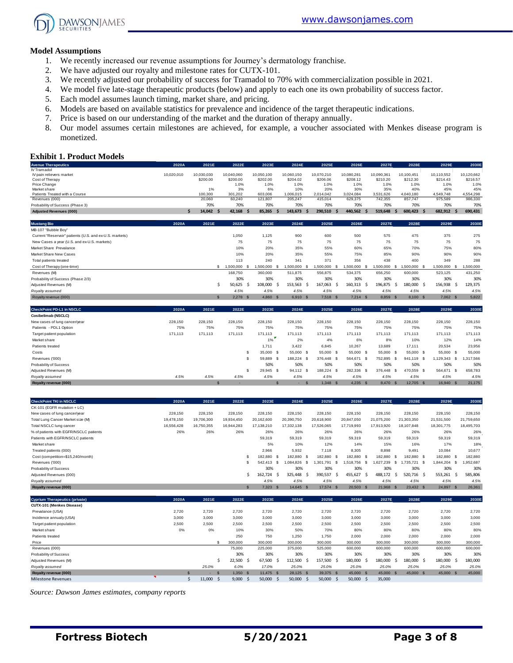

#### **Model Assumptions**

- 1. We recently increased our revenue assumptions for Journey's dermatology franchise.
- 2. We have adjusted our royalty and milestone rates for CUTX-101.
- 3. We recently adjusted our probability of success for Tramadol to 70% with commercialization possible in 2021.
- 4. We model five late-stage therapeutic products (below) and apply to each one its own probability of success factor.
- 5. Each model assumes launch timing, market share, and pricing.
- 6. Models are based on available statistics for prevalence and incidence of the target therapeutic indications.
- 7. Price is based on our understanding of the market and the duration of therapy annually.
- 8. Our model assumes certain milestones are achieved, for example, a voucher associated with Menkes disease program is monetized.

#### **Exhibit 1. Product Models**

| <b>Avenue Therapeutics</b>                              | 2020A      | 2021E         | 2022E           | 2023E         | 2024E            | 2025E             | 2026E            | 2027E            | 2028E              | 2029E               | 2030E            |
|---------------------------------------------------------|------------|---------------|-----------------|---------------|------------------|-------------------|------------------|------------------|--------------------|---------------------|------------------|
| IV Tramadol                                             |            |               |                 |               |                  |                   |                  |                  |                    |                     |                  |
| IV pain relievers market                                | 10,020,010 | 10,030,030    | 10,040,060      | 10,050,100    | 10,060,150       | 10,070,210        | 10,080,281       | 10,090,361       | 10.100.451         | 10,110,552          | 10,120,662       |
| Cost of Therapy                                         |            | \$200.00      | \$200.00        | \$202.00      | \$204.02         | \$206.06          | \$208.12         | \$210.20         | \$212.30           | \$214.43            | \$216.57         |
| Price Change                                            |            |               | 1.0%            | 1.0%          | 1.0%             | 1.0%              | 1.0%             | 1.0%             | 1.0%               | 1.0%                | 1.0%             |
| Market share<br>Patients Treated with a Course          |            | 1%<br>100,300 | 3%<br>301,202   | 6%<br>603,006 | 10%<br>1,006,015 | 20%<br>2,014,042  | 30%<br>3,024,084 | 35%<br>3,531,626 | 40%<br>4,040,180   | 45%<br>4,549,748    | 45%<br>4,554,298 |
| Revenues (000)                                          |            | 20,060        | 60,240          | 121,807       | 205,247          | 415,014           | 629,375          | 742,355          | 857,747            | 975,589             | 986,330          |
| Probability of Success (Phase 3)                        |            | 70%           | 70%             | 70%           | 70%              | 70%               | 70%              | 70%              | 70%                | 70%                 | 70%              |
| <b>Adjusted Revenues (000)</b>                          | Ś          | 14,042        | 42,168<br>- S   | 85,265        | 143,673<br>-Ś    | 290,510<br>.S     | 440,562          | 519,648          | 600,423 \$         | 682,912<br><b>S</b> | 690,431          |
|                                                         |            |               |                 |               |                  |                   |                  |                  |                    |                     |                  |
| <b>Mustang Bio</b>                                      | 2020A      | 2021E         | 2022E           | 2023E         | 2024E            | 2025E             | 2026E            | 2027E            | 2028E              | 2029E               | 2030E            |
| MB-107 "Bubble Boy"                                     |            |               |                 |               |                  |                   |                  |                  |                    |                     |                  |
| Current "Reservoir" patients (U.S. and ex-U.S. markets) |            |               | 1,050           | 1.125         | 900              | 600               | 500              | 575              | 475                | 375                 | 275              |
| New Cases a year (U.S. and ex-U.S. markets)             |            |               | 75              | 75            | 75               | 75                | 75               | 75               | 75                 | 75                  | 75               |
| Market Share Prevalance                                 |            |               | 10%             | 20%           | 35%              | 55%               | 60%              | 65%              | 70%                | 75%                 | 80%              |
| Market Share New Cases                                  |            |               | 10%             | 20%           | 35%              | 55%               | 75%              | 85%              | 90%                | 90%                 | 90%              |
| Total patients treated                                  |            |               | 113             | 240           | 341              | 371               | 356              | 438              | 400                | 349                 | 288              |
| Cost of Therapy (one-time)                              |            |               | 1,500,000<br>s. | 1.500.000     | 1,500,000        | 1,500,000<br>- \$ | 1,500,000<br>.s  | 1.500.000        | 1.500.000 \$<br>S. | 1,500,000 \$        | 1,500,000        |
| Revenues (M)                                            |            |               | 168,750         | 360,000       | 511,875          | 556,875           | 534,375          | 656,250          | 600,000            | 523,125             | 431,250          |
| Probability of Success (Phase 2/3)                      |            |               | 30%             | 30%           | 30%              | 30%               | 30%              | 30%              | 30%                | 30%                 | 30%              |
| Adjusted Revenues (M)                                   |            | .S            | 50,625<br>-S    | 108,000       | 153,563<br>- S   | 167,063<br>- S    | 160,313<br>-S    | 196,875          | 180,000 \$<br>-S   | 156,938<br>-S       | 129,375          |
| Royalty assumed                                         |            |               | 4.5%            | 4.5%          | 4.5%             | 4.5%              | 4.5%             | 4.5%             | 4.5%               | 4.5%                | 4.5%             |
| Royalty revenue (000)                                   |            | $\mathbf{s}$  | $2,278$ \$      | 4,860 \$      | 6,910 \$         | 7,518 \$          | $7,214$ \$       | 8,859 \$         | 8,100 \$           | 7,062 \$            | 5,822            |
| <b>CheckPoint PD-L1 in NSCLC</b>                        | 2020A      | 2021E         | 2022E           | 2023E         | 2024E            | 2025E             | 2026E            | 2027E            | 2028E              | 2029E               | 2030E            |
| Cosibelimab (NSCLC)                                     |            |               |                 |               |                  |                   |                  |                  |                    |                     |                  |
| New cases of lung cancer/year                           | 228,150    | 228,150       | 228,150         | 228,150       | 228,150          | 228,150           | 228,150          | 228,150          | 228,150            | 228,150             | 228,150          |
| Patients - PDL1 Option                                  | 75%        | 75%           | 75%             | 75%           | 75%              | 75%               | 75%              | 75%              | 75%                | 75%                 | 75%              |
| Target patient population                               | 171,113    | 171.113       | 171,113         | 171,113       | 171.113          | 171.113           | 171.113          | 171,113          | 171.113            | 171,113             | 171.113          |
| Market share                                            |            |               |                 | 1%            | 2%               | 4%                | 6%               | 8%               | 10%                | 12%                 | 14%              |

| Patients treated       |      |      |      | 1.711     | 3,422     | 6,845      | 10.267                 | 13,689  | 17.111     | 20,534    | 23,956    |
|------------------------|------|------|------|-----------|-----------|------------|------------------------|---------|------------|-----------|-----------|
| Costs                  |      |      |      | 35,000 S  | 55,000 \$ | 55,000     | 55,000<br>$\mathbf{s}$ | 55,000  | 55,000 \$  | 55,000 \$ | 55,000    |
| Revenues ('000)        |      |      |      | 59.889 S  | 188.224   | 376,448 \$ | 564.671<br>- \$        | 752.895 | 941.119 \$ | 129.343   | 1.317.566 |
| Probability of Success |      |      |      | 50%       | 50%       | 50%        | 50%                    | 50%     | 50%        | 50%       | 50%       |
| Adjusted Revenues (M)  |      |      |      | 29.945 \$ | 94.112 S  | 188.224    | 282.336<br>- 35        | 376,448 | 470.559 \$ | 564,671   | 658,783   |
| Rovalty assumed        | 4.5% | 4.5% | 4.5% | 4.5%      | 4.5%      | 4.5%       | 4.5%                   | 4.5%    | 4.5%       | 4.5%      | 4.5%      |
| Royalty revenue (000)  |      |      |      |           |           | 1.348      | 4.235                  | 8,470   | 12,705 \$  | 16,940    | 21,175    |

| <b>CheckPoint TKI in NSCLC</b>         | 2020A      | 2021E      | 2022E      | 2023E      | 2024E           |            | 2025E      | 2026E              | 2027E            | 2028E              | 2029E      |          | 2030E      |
|----------------------------------------|------------|------------|------------|------------|-----------------|------------|------------|--------------------|------------------|--------------------|------------|----------|------------|
| CK-101 (EGFR mutation + LC)            |            |            |            |            |                 |            |            |                    |                  |                    |            |          |            |
| New cases of lung cancer/year          | 228,150    | 228.150    | 228,150    | 228,150    | 228,150         |            | 228,150    | 228,150            | 228,150          | 228,150            | 228,150    |          | 228,150    |
| Total Lung Cancer Market size (M)      | 19.478.150 | 19,706,300 | 19.934.450 | 20,162,600 | 20,390,750      |            | 20,618,900 | 20,847,050         | 21,075,200       | 21.303.350         | 21,531,500 |          | 21,759,650 |
| Total NSCLC lung cancer                | 16,556,428 | 16.750.355 | 16,944,283 | 17.138.210 | 17,332,138      |            | 17,526,065 | 17,719,993         | 17,913,920       | 18.107.848         | 18,301,775 |          | 18,495,703 |
| % of patients with EGFR/NSCLC patients | 26%        | 26%        | 26%        | 26%        |                 | 26%        | 26%        | 26%                | 26%              | 26%                | 26%        |          | 26%        |
| Patients with EGFR/NSCLC patients      |            |            |            | 59.319     | 59,319          |            | 59.319     | 59,319             | 59,319           | 59,319             | 59,319     |          | 59,319     |
| Market share                           |            |            |            | 5%         |                 | 10%        | 12%        | 14%                | 15%              | 16%                | 17%        |          | 18%        |
| Treated patients (000)                 |            |            |            | 2,966      | 5,932           |            | 7.118      | 8,305              | 8,898            | 9.491              | 10,084     |          | 10,677     |
| Cost (competition=\$15,240/month)      |            |            |            | 182,880 \$ |                 | 182,880 \$ | 182,880    | 182,880 \$<br>- \$ | 182,880          | 182,880 \$<br>- \$ | 182,880 \$ |          | 182,880    |
| Revenues ('000)                        |            |            |            | 542.413    | .084.826<br>- S |            | 1.301.791  | 1,518,756<br>- 55  | ,627,239<br>- 55 | .735.721 \$<br>-55 | 1,844,204  | .s       | 1,952,687  |
| Probability of Success                 |            |            |            | 30%        |                 | 30%        | 30%        | 30%                | 30%              | 30%                | 30%        |          | 30%        |
| Adjusted Revenues (000)                |            |            |            | 162,724 \$ | 325,448 \$      |            | 390,537    | 455,627<br>- S     | 488,172<br>-S    | 520,716 \$<br>-S   | 553,261    |          | 585,806    |
| Royalty assumed                        |            |            |            | 4.5%       | 4.5%            |            | 4.5%       | 4.5%               | 4.5%             | 4.5%               | 4.5%       |          | 4.5%       |
| Royalty revenue (000)                  |            |            |            | 7.323 S    |                 | 14.645 S   | 17,574 \$  | $20,503$ \$        | 21,968           | 23.432 \$<br>- \$  | 24,897     | <b>S</b> | 26,361     |
|                                        |            |            |            |            |                 |            |            |                    |                  |                    |            |          |            |

| <b>Cyprium Therapeutics (private)</b> | 2020A | 2021E  | 2022E     | 2023E     | 2024E     | 2025E      | 2026E                   | 2027E          | 2028E      | 2029E        | 2030E   |
|---------------------------------------|-------|--------|-----------|-----------|-----------|------------|-------------------------|----------------|------------|--------------|---------|
| CUTX-101 (Menkes Disease)             |       |        |           |           |           |            |                         |                |            |              |         |
| Prevalance (USA)                      | 2,720 | 2,720  | 2,720     | 2,720     | 2,720     | 2,720      | 2,720                   | 2,720          | 2,720      | 2,720        | 2,720   |
| Incidence annualy (USA)               | 3,000 | 3,000  | 3,000     | 3,000     | 3,000     | 3,000      | 3,000                   | 3,000          | 3,000      | 3,000        | 3,000   |
| Target patient population             | 2,500 | 2,500  | 2,500     | 2,500     | 2,500     | 2,500      | 2,500                   | 2,500          | 2,500      | 2,500        | 2,500   |
| Market share                          | 0%    | 0%     | 10%       | 30%       | 50%       | 70%        | 80%                     | 80%            | 80%        | 80%          | 80%     |
| Patients treated                      |       |        | 250       | 750       | 1,250     | 1,750      | 2,000                   | 2,000          | 2,000      | 2,000        | 2,000   |
| Price                                 |       |        | 300,000   | 300,000   | 300,000   | 300,000    | 300,000                 | 300,000        | 300,000    | 300,000      | 300,000 |
| Revenues (000)                        |       |        | 75,000    | 225,000   | 375,000   | 525,000    | 600,000                 | 600,000        | 600,000    | 600,000      | 600,000 |
| Probability of Success                |       |        | 30%       | 30%       | 30%       | 30%        | 30%                     | 30%            | 30%        | 30%          | 30%     |
| Adjusted Revenues (M)                 |       |        | 22,500 \$ | 67,500 \$ | 112,500   | 157,500 \$ | 180,000<br>- S          | 180,000<br>s   | 180,000 \$ | 180,000      | 180,000 |
| Royalty assumed                       |       | 25.0%  | 6.0%      | 17.0%     | 25.0%     | 25.0%      | 25.0%                   | 25.0%          | 25.0%      | 25.0%        | 25.0%   |
| Rovalty revenue (000)                 |       | $-$    | 1.350 S   | 11.475 \$ | 28.125 \$ | 39,375 \$  | 45,000<br>$\mathcal{S}$ | 45,000<br>- \$ | 45,000 \$  | 45,000<br>S. | 45,000  |
| <b>Milestone Revenues</b>             |       | 11,000 | 9,000     | 50,000    | 50,000    | 50,000     | 50,000<br>-S            | 35,000         |            |              |         |

*Source: Dawson James estimates, company reports*

**Fortress Biotech 5/20/2021 Page 3 of 8**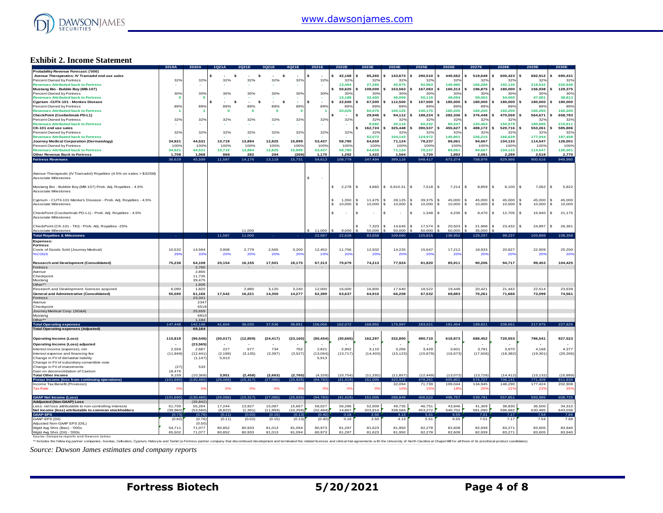

#### **Exhibit 2. Income Statement**

| 42,168<br>85.265<br>143,673<br>290,510<br>440.562<br>519,648<br>600,423<br>682,912<br>690,431<br>Avenue Therapeutics: IV Tramadol end use sales<br>\$.<br>s<br>\$<br>- 5<br>32%<br>Percent Owned by Fortress<br>32%<br>32%<br>32%<br>32%<br>32%<br>32%<br>32%<br>32%<br>32 <sup>6</sup><br>32'<br>32 <sup>6</sup><br>32 <sup>6</sup><br>$32^{\circ}$<br>32 <sup>6</sup><br>$32^{\circ}$<br>166,288<br>192,135<br>218,532<br>220,938<br><b>Revenues Attributed back to Fortress</b><br>13.494<br>27,285<br>45,975<br>92.963<br>140.980<br>Mustang Bio - Bubble Boy (MB-107)<br>50,625<br>108,000<br>153,563<br>167,063<br>160,313<br>196,875<br>180,000<br>156,938<br>129,375<br>\$.<br>30%<br>30%<br>Percent Owned by Fortress<br>30%<br>30%<br>30%<br>30%<br>30%<br>30%<br>30%<br>30%<br>30 <sup>o</sup><br>30%<br>30 <sup>°</sup><br>30%<br>30%<br>30%<br><b>Revenues Attributed back to Fortress</b><br>$\overline{0}$<br>15.188<br>32,400<br>46.069<br>50.119<br>48.094<br>59,063<br>54,000<br>47.081<br>38,813<br>- 0<br>s<br>-\$<br>$\sim$<br>\$<br>s.<br>¢<br>$\sim$<br>22,500<br>67.500<br>112,500<br>157,500<br>180,000<br>180,000<br>180,000<br>¢<br>180,000<br>180,000<br>-<br>$\hat{\mathbf{z}}$<br>Percent Owned by Fortress<br>89%<br>89%<br>89%<br>89%<br>89%<br>89%<br>89%<br>89%<br>89%<br>89%<br>89%<br>899<br>89%<br>899<br>89%<br>89%<br><b>Revenues Attributed back to Fortress</b><br>$\mathbf 0$<br>20,025<br>60.075<br>100,125<br>140,175<br>160,200<br>160,200<br>160,200<br>160,200<br>160,200<br>$\mathbf{0}$<br>$\mathbf{0}$<br>$\mathbf 0$<br>188,224<br>282,336<br>376,448<br>470,559<br>564,671<br>658,783<br>29.945<br>94.112<br>- \$<br>32%<br>32%<br>32%<br>32%<br>32%<br>32%<br>32%<br>32%<br>32%<br>32 <sub>9</sub><br>32%<br>32%<br>32%<br>32%<br>$32^\circ$<br>329<br>90.347<br>150.579<br>180.695<br>210.811<br>9.582<br>30.116<br>60.232<br>120.463<br>162,724<br>325,448<br>390,537<br>455,627<br>488,172<br>520,716<br>553,261<br>585,806<br>s<br>32%<br>32%<br>32%<br>32%<br>32%<br>32%<br>32%<br>32%<br>32%<br>32 <sup>o</sup><br>32%<br>32%<br>32%<br>32%<br>32%<br>32%<br><b>Revenues Attributed back to Fortress</b><br>52,072<br>104,143<br>124,972<br>145,801<br>156,215<br>166,629<br>177,044<br>187,458<br>34.921<br>44.531<br>10.719<br>13.894<br>12.825<br>15,999<br>53.437<br>58.780<br>71,124<br>94.667<br>114,547<br>126,001<br>64.659<br>78.237<br>86.061<br>104.133<br>Percent Owned by Fortress<br>100%<br>100%<br>100%<br>100%<br>100%<br>100%<br>100%<br>100%<br>100%<br>100%<br>100%<br>100%<br>100%<br>100%<br>100%<br>100%<br>10,719<br>15,999<br>53,437<br>58,780<br>94.667<br>114,547<br>126,001<br><b>Revenues Attributed back to Fortress</b><br>34.921<br>44.531<br>13,894<br>12,825<br>64.659<br>71,124<br>78,237<br>86.061<br>104,133<br>Other Revenue Back to Fortress<br>1,708<br>1,068<br>868<br>282<br>294<br>(269)<br>1,175<br>1,292<br>1,422<br>1,564<br>1,720<br>1,892<br>2,081<br>2,289<br>2,518<br>2,770<br><b>Fortress Revenues</b><br>36,629<br>45,599<br>11,587<br>14,176<br>13,119<br>15,731<br>54,613<br>108,779<br>247,494<br>399,116<br>548,417<br>673,374<br>758,976<br>829,966<br>900,616<br>946,990<br>Avenue Therapeutic (IV Tramadol) Royalties (4.5% on sales > \$325M)<br>\$<br>Associate Milestones<br>Mustang Bio - Bubble Boy (MB-107) Prob. Adj. Royalties - 4.5%<br>2.278<br>\$ 6.910.31<br>8,859<br>7.062<br>5,822<br>-S<br>4.860<br>S.<br>7,518<br>7,214<br>s<br>8,100<br>s<br>- \$<br>IS.<br>s<br>Associate Milestones<br>Cyprium - CUTX-101 Menke's Disease - Prob. Adj. Royalties - 4.5%<br>1,350<br>39,375<br>45,000<br>45,000<br>s<br>11.475<br>28.125<br>l \$<br>45,000<br>s<br><sub>S</sub><br>S.<br>45,000<br>$\mathbf{s}$<br>45,000<br>s.<br>10,000<br>-S<br>10,000<br>10,000<br>S.<br>10,000<br>10,000<br>s<br>10,000<br>10,000<br>s<br>10,000<br><b>S</b><br>10,000<br>s.<br>IS.<br>s<br>CheckPoint (Cosibelmab PD-L1) - Prob. Adj. Royalties - 4.5%<br>4,235<br>1,348<br>8,470<br>12,705<br>16,940<br>21,175<br>£.<br>$\sim$<br>s<br>-S<br>s.<br>$\mathcal{S}$<br>17,574<br>7,323<br>14,645<br>20,503<br>s<br>21,968<br>s<br>23,432<br>\$.<br>24,897<br>$\mathbf{\hat{s}}$<br>26,361<br>Ś.<br>$\mathbf{S}$<br>$\mathcal{S}$<br>9.000<br>11,000<br>11,000<br>50.000<br>50,000<br>50,000<br>50,000<br>35,000<br><b>Total Royalties &amp; Milestones</b><br>108,358<br>11,587<br>11,000<br>22,587<br>22,628<br>83,658<br>109,680<br>125,815<br>136,952<br>129,297<br>99,237<br>103,899<br><b>Expenses</b><br><b>Fortress</b><br>10,532<br>3,200<br>11,756<br>18,933<br>20,827<br>25,200<br>Costs of Goods Sold (Journey Medical)<br>14.594<br>3.908<br>2.779<br>2.565<br>12,452<br>12,932<br>14,225<br>15,647<br>17.212<br>22,909<br>%COGS<br>339<br>20%<br>29'<br>20%<br>20%<br>20 <sup>°</sup><br>23 <sup>6</sup><br>20%<br><b>20°</b><br>20%<br>20°<br>$20^{\circ}$<br>20 <sup>6</sup><br><b>20%</b><br>$20^{\circ}$<br>20%<br><b>Research and Development (Consolidated)</b><br>75,236<br>64,108<br>20,154<br>16,155<br>17,501<br>18,175<br>67,313<br>70,679<br>74,213<br>77,924<br>81,820<br>85,911<br>90,206<br>94,717<br>99,453<br>104,425<br>2,780<br>2,866<br>11,735<br>39,475<br>1,606<br>2,880<br>3,120<br>3,240<br>16,000<br>16,800<br>17,640<br>18,522<br>21,442<br>22,514<br>23,639<br>6,090<br>1.820<br>12,000<br>19.448<br>20.42<br>55,590<br>61,166<br>17.542<br>16,221<br>14,350<br>14,277<br>62,389<br>63,637<br>64,910<br>66,208<br>67,532<br>68,883<br>70,261<br>71,666<br>73,099<br>74,561<br>23.341<br>Avenue<br>234<br>651<br>25,659<br>6810<br>1,184<br>147.448<br>156,066<br>162,072<br>168,855<br>183,521<br>38,891<br>175,997<br>191,454<br>199,821<br>217,975<br>227,826<br>42.146<br>41.604<br>38.035<br>37,536<br>208.651<br>69.164<br>110,819<br>(96, 546)<br>(30, 017)<br>(12, 859)<br>(24, 417)<br>(23, 160)<br>(90, 454)<br>(30, 665)<br>162,297<br>332,800<br>490,710<br>618,873<br>688,452<br>720,553<br>786,541<br>827,523<br>(23, 565)<br>2,559<br>2,687<br>227<br>677<br>734<br>762<br>2,821<br>2,962<br>3,110<br>3,266<br>3,429<br>3,601<br>3,781<br>3,970<br>4,168<br>4,377<br>(11, 849)<br>(12.441)<br>(2.189)<br>(3, 135)<br>(3, 397)<br>(3, 527)<br>(13,064)<br>(13, 717)<br>(14, 403)<br>(15, 123)<br>(15, 879)<br>(16, 673)<br>(17,506)<br>(18, 382)<br>(19, 301)<br>(20, 266)<br>(1, 147)<br>5,913<br>5,913<br>Change in FV of subsidiary convertible note<br>Change in FV of investments<br>(27)<br>533<br>18,476<br>9,159<br>(10, 369)<br>3,951<br>(2, 458)<br>(2,663)<br>(2,765)<br>(4,329)<br>(10, 754)<br>(11, 292)<br>(11, 857)<br>(12, 449)<br>(13,072)<br>(13, 726)<br>(14, 412)<br>(15, 132)<br>(15,889)<br>811,634<br>(101, 660)<br>(130.480)<br>(26,066)<br>(25, 926)<br>(94, 783)<br>(41, 419)<br>151,005<br>320,943<br>478,261<br>605,801<br>674,727<br>706,141<br>(15.317)<br>(27.080)<br>771,409<br>32,094<br>71,739<br>109,044<br>134,945<br>148,290<br>177,424<br>202,908<br>0%<br>0%<br><b>Tax Rate</b><br>$\mathbf{O}^{\prime}$<br>O <sup>o</sup><br>0%<br>0%<br>0%<br>0%<br>O <sup>s</sup><br>10%<br>159<br>18%<br>20%<br>219<br>239<br>259<br>406,522<br>496,757<br>(101, 660)<br>30,48<br>(15, 317)<br>(25, 926)<br>(94, 783)<br>(41, 419)<br>151,005<br>288.849<br>539,781<br>557,851<br>593,985<br>608,725<br>26,066<br>(27,080)<br>(35.842)<br>55,264<br>17,244<br>13,927<br>15,087<br>15,667<br>58,027<br>56,286<br>52,909<br>49,735<br>46,751<br>43,946<br>41,309<br>38,830<br>36,500<br>34,310<br>Less: net loss attributable to non-controlling interests<br>61.700<br>643,036<br>(53.560<br>(8.822)<br>(11.993)<br>(10, 258)<br>14.867<br>203.914<br>338.584<br>453,272<br>540,702<br>581,090<br>596.682<br>630.485<br>(39.960)<br>(1.391)<br>(32.464)<br>(0.76)<br>(0.11)<br>(0.02)<br>(0.15)<br>(0.13)<br>(0.40)<br>0.18<br>2.50<br>4.13<br>5.51<br>6.55<br>7.17<br>7.54<br>7.66<br>(0.73)<br>7.01<br>(0.02)<br>2.50<br>5.51<br>6.55<br>7.66<br>(0.60)<br>(0.76)<br>(0.11)<br>(0.15)<br>(0.13)<br>(0.40)<br>0.18<br>4.13<br>7.01<br>7.17<br>7.54<br>(0.50)<br>81,297<br>54.711<br>71.077<br>80.852<br>80.933<br>81.013<br>81.094<br>80.973<br>81.623<br>81.950<br>82.278<br>82.608<br>82.939<br>83.271<br>83,605<br>83,940<br>Wgtd Avg Shrs (Dil) - '000s<br>65.502<br>71.077<br>80,852<br>80,933<br>81,013<br>81.094<br>80.973<br>81,297<br>81,623<br>81,950<br>82.278<br>82,608<br>82.939<br>83,271<br>83,605<br>83,940 |                                                       | 2019A | 2020A |  |  |  |  |  | 20275 | <b>2028F</b> |  |
|-------------------------------------------------------------------------------------------------------------------------------------------------------------------------------------------------------------------------------------------------------------------------------------------------------------------------------------------------------------------------------------------------------------------------------------------------------------------------------------------------------------------------------------------------------------------------------------------------------------------------------------------------------------------------------------------------------------------------------------------------------------------------------------------------------------------------------------------------------------------------------------------------------------------------------------------------------------------------------------------------------------------------------------------------------------------------------------------------------------------------------------------------------------------------------------------------------------------------------------------------------------------------------------------------------------------------------------------------------------------------------------------------------------------------------------------------------------------------------------------------------------------------------------------------------------------------------------------------------------------------------------------------------------------------------------------------------------------------------------------------------------------------------------------------------------------------------------------------------------------------------------------------------------------------------------------------------------------------------------------------------------------------------------------------------------------------------------------------------------------------------------------------------------------------------------------------------------------------------------------------------------------------------------------------------------------------------------------------------------------------------------------------------------------------------------------------------------------------------------------------------------------------------------------------------------------------------------------------------------------------------------------------------------------------------------------------------------------------------------------------------------------------------------------------------------------------------------------------------------------------------------------------------------------------------------------------------------------------------------------------------------------------------------------------------------------------------------------------------------------------------------------------------------------------------------------------------------------------------------------------------------------------------------------------------------------------------------------------------------------------------------------------------------------------------------------------------------------------------------------------------------------------------------------------------------------------------------------------------------------------------------------------------------------------------------------------------------------------------------------------------------------------------------------------------------------------------------------------------------------------------------------------------------------------------------------------------------------------------------------------------------------------------------------------------------------------------------------------------------------------------------------------------------------------------------------------------------------------------------------------------------------------------------------------------------------------------------------------------------------------------------------------------------------------------------------------------------------------------------------------------------------------------------------------------------------------------------------------------------------------------------------------------------------------------------------------------------------------------------------------------------------------------------------------------------------------------------------------------------------------------------------------------------------------------------------------------------------------------------------------------------------------------------------------------------------------------------------------------------------------------------------------------------------------------------------------------------------------------------------------------------------------------------------------------------------------------------------------------------------------------------------------------------------------------------------------------------------------------------------------------------------------------------------------------------------------------------------------------------------------------------------------------------------------------------------------------------------------------------------------------------------------------------------------------------------------------------------------------------------------------------------------------------------------------------------------------------------------------------------------------------------------------------------------------------------------------------------------------------------------------------------------------------------------------------------------------------------------------------------------------------------------------------------------------------------------------------------------------------------------------------------------------------------------------------------------------------------------------------------------------------------------------------------------------------------------------------------------------------------------------------------------------------------------------------------------------------------------------------------------------------------------------------------------------------------------------------------------------------------------------------------------------------------------------------------------------------------------------------------------------------------------------------------------------------------------------------------------------------------------------------------------------------------------------------------------------------------------------------------------------------------------------------------------------------------------------------------------------------------------------------------------------------------------------------------------------------------------------------------------------------------------------------------------------------------------------------------------------------------------------------------------------------------------------------------------------------------------------------------------------------------------------------------------------------------------------------------------------------------------------------------------------------------------------------------------------------------------------------------------------------------------------------------------------------------------------------------------------------------------------------------------------------------------------------------------------------------------------------------------------------------------------------------------------------------------------------------------------------------------------------------------------------------------|-------------------------------------------------------|-------|-------|--|--|--|--|--|-------|--------------|--|
|                                                                                                                                                                                                                                                                                                                                                                                                                                                                                                                                                                                                                                                                                                                                                                                                                                                                                                                                                                                                                                                                                                                                                                                                                                                                                                                                                                                                                                                                                                                                                                                                                                                                                                                                                                                                                                                                                                                                                                                                                                                                                                                                                                                                                                                                                                                                                                                                                                                                                                                                                                                                                                                                                                                                                                                                                                                                                                                                                                                                                                                                                                                                                                                                                                                                                                                                                                                                                                                                                                                                                                                                                                                                                                                                                                                                                                                                                                                                                                                                                                                                                                                                                                                                                                                                                                                                                                                                                                                                                                                                                                                                                                                                                                                                                                                                                                                                                                                                                                                                                                                                                                                                                                                                                                                                                                                                                                                                                                                                                                                                                                                                                                                                                                                                                                                                                                                                                                                                                                                                                                                                                                                                                                                                                                                                                                                                                                                                                                                                                                                                                                                                                                                                                                                                                                                                                                                                                                                                                                                                                                                                                                                                                                                                                                                                                                                                                                                                                                                                                                                                                                                                                                                                                                                                                                                                                                                                                                                                                                                                                                                                                                                                                                                                                                                                                                                                                                                                                         | Probability Revenue Forecast: ('000)                  |       |       |  |  |  |  |  |       |              |  |
|                                                                                                                                                                                                                                                                                                                                                                                                                                                                                                                                                                                                                                                                                                                                                                                                                                                                                                                                                                                                                                                                                                                                                                                                                                                                                                                                                                                                                                                                                                                                                                                                                                                                                                                                                                                                                                                                                                                                                                                                                                                                                                                                                                                                                                                                                                                                                                                                                                                                                                                                                                                                                                                                                                                                                                                                                                                                                                                                                                                                                                                                                                                                                                                                                                                                                                                                                                                                                                                                                                                                                                                                                                                                                                                                                                                                                                                                                                                                                                                                                                                                                                                                                                                                                                                                                                                                                                                                                                                                                                                                                                                                                                                                                                                                                                                                                                                                                                                                                                                                                                                                                                                                                                                                                                                                                                                                                                                                                                                                                                                                                                                                                                                                                                                                                                                                                                                                                                                                                                                                                                                                                                                                                                                                                                                                                                                                                                                                                                                                                                                                                                                                                                                                                                                                                                                                                                                                                                                                                                                                                                                                                                                                                                                                                                                                                                                                                                                                                                                                                                                                                                                                                                                                                                                                                                                                                                                                                                                                                                                                                                                                                                                                                                                                                                                                                                                                                                                                                         |                                                       |       |       |  |  |  |  |  |       |              |  |
|                                                                                                                                                                                                                                                                                                                                                                                                                                                                                                                                                                                                                                                                                                                                                                                                                                                                                                                                                                                                                                                                                                                                                                                                                                                                                                                                                                                                                                                                                                                                                                                                                                                                                                                                                                                                                                                                                                                                                                                                                                                                                                                                                                                                                                                                                                                                                                                                                                                                                                                                                                                                                                                                                                                                                                                                                                                                                                                                                                                                                                                                                                                                                                                                                                                                                                                                                                                                                                                                                                                                                                                                                                                                                                                                                                                                                                                                                                                                                                                                                                                                                                                                                                                                                                                                                                                                                                                                                                                                                                                                                                                                                                                                                                                                                                                                                                                                                                                                                                                                                                                                                                                                                                                                                                                                                                                                                                                                                                                                                                                                                                                                                                                                                                                                                                                                                                                                                                                                                                                                                                                                                                                                                                                                                                                                                                                                                                                                                                                                                                                                                                                                                                                                                                                                                                                                                                                                                                                                                                                                                                                                                                                                                                                                                                                                                                                                                                                                                                                                                                                                                                                                                                                                                                                                                                                                                                                                                                                                                                                                                                                                                                                                                                                                                                                                                                                                                                                                                         |                                                       |       |       |  |  |  |  |  |       |              |  |
|                                                                                                                                                                                                                                                                                                                                                                                                                                                                                                                                                                                                                                                                                                                                                                                                                                                                                                                                                                                                                                                                                                                                                                                                                                                                                                                                                                                                                                                                                                                                                                                                                                                                                                                                                                                                                                                                                                                                                                                                                                                                                                                                                                                                                                                                                                                                                                                                                                                                                                                                                                                                                                                                                                                                                                                                                                                                                                                                                                                                                                                                                                                                                                                                                                                                                                                                                                                                                                                                                                                                                                                                                                                                                                                                                                                                                                                                                                                                                                                                                                                                                                                                                                                                                                                                                                                                                                                                                                                                                                                                                                                                                                                                                                                                                                                                                                                                                                                                                                                                                                                                                                                                                                                                                                                                                                                                                                                                                                                                                                                                                                                                                                                                                                                                                                                                                                                                                                                                                                                                                                                                                                                                                                                                                                                                                                                                                                                                                                                                                                                                                                                                                                                                                                                                                                                                                                                                                                                                                                                                                                                                                                                                                                                                                                                                                                                                                                                                                                                                                                                                                                                                                                                                                                                                                                                                                                                                                                                                                                                                                                                                                                                                                                                                                                                                                                                                                                                                                         |                                                       |       |       |  |  |  |  |  |       |              |  |
|                                                                                                                                                                                                                                                                                                                                                                                                                                                                                                                                                                                                                                                                                                                                                                                                                                                                                                                                                                                                                                                                                                                                                                                                                                                                                                                                                                                                                                                                                                                                                                                                                                                                                                                                                                                                                                                                                                                                                                                                                                                                                                                                                                                                                                                                                                                                                                                                                                                                                                                                                                                                                                                                                                                                                                                                                                                                                                                                                                                                                                                                                                                                                                                                                                                                                                                                                                                                                                                                                                                                                                                                                                                                                                                                                                                                                                                                                                                                                                                                                                                                                                                                                                                                                                                                                                                                                                                                                                                                                                                                                                                                                                                                                                                                                                                                                                                                                                                                                                                                                                                                                                                                                                                                                                                                                                                                                                                                                                                                                                                                                                                                                                                                                                                                                                                                                                                                                                                                                                                                                                                                                                                                                                                                                                                                                                                                                                                                                                                                                                                                                                                                                                                                                                                                                                                                                                                                                                                                                                                                                                                                                                                                                                                                                                                                                                                                                                                                                                                                                                                                                                                                                                                                                                                                                                                                                                                                                                                                                                                                                                                                                                                                                                                                                                                                                                                                                                                                                         |                                                       |       |       |  |  |  |  |  |       |              |  |
|                                                                                                                                                                                                                                                                                                                                                                                                                                                                                                                                                                                                                                                                                                                                                                                                                                                                                                                                                                                                                                                                                                                                                                                                                                                                                                                                                                                                                                                                                                                                                                                                                                                                                                                                                                                                                                                                                                                                                                                                                                                                                                                                                                                                                                                                                                                                                                                                                                                                                                                                                                                                                                                                                                                                                                                                                                                                                                                                                                                                                                                                                                                                                                                                                                                                                                                                                                                                                                                                                                                                                                                                                                                                                                                                                                                                                                                                                                                                                                                                                                                                                                                                                                                                                                                                                                                                                                                                                                                                                                                                                                                                                                                                                                                                                                                                                                                                                                                                                                                                                                                                                                                                                                                                                                                                                                                                                                                                                                                                                                                                                                                                                                                                                                                                                                                                                                                                                                                                                                                                                                                                                                                                                                                                                                                                                                                                                                                                                                                                                                                                                                                                                                                                                                                                                                                                                                                                                                                                                                                                                                                                                                                                                                                                                                                                                                                                                                                                                                                                                                                                                                                                                                                                                                                                                                                                                                                                                                                                                                                                                                                                                                                                                                                                                                                                                                                                                                                                                         |                                                       |       |       |  |  |  |  |  |       |              |  |
|                                                                                                                                                                                                                                                                                                                                                                                                                                                                                                                                                                                                                                                                                                                                                                                                                                                                                                                                                                                                                                                                                                                                                                                                                                                                                                                                                                                                                                                                                                                                                                                                                                                                                                                                                                                                                                                                                                                                                                                                                                                                                                                                                                                                                                                                                                                                                                                                                                                                                                                                                                                                                                                                                                                                                                                                                                                                                                                                                                                                                                                                                                                                                                                                                                                                                                                                                                                                                                                                                                                                                                                                                                                                                                                                                                                                                                                                                                                                                                                                                                                                                                                                                                                                                                                                                                                                                                                                                                                                                                                                                                                                                                                                                                                                                                                                                                                                                                                                                                                                                                                                                                                                                                                                                                                                                                                                                                                                                                                                                                                                                                                                                                                                                                                                                                                                                                                                                                                                                                                                                                                                                                                                                                                                                                                                                                                                                                                                                                                                                                                                                                                                                                                                                                                                                                                                                                                                                                                                                                                                                                                                                                                                                                                                                                                                                                                                                                                                                                                                                                                                                                                                                                                                                                                                                                                                                                                                                                                                                                                                                                                                                                                                                                                                                                                                                                                                                                                                                         |                                                       |       |       |  |  |  |  |  |       |              |  |
|                                                                                                                                                                                                                                                                                                                                                                                                                                                                                                                                                                                                                                                                                                                                                                                                                                                                                                                                                                                                                                                                                                                                                                                                                                                                                                                                                                                                                                                                                                                                                                                                                                                                                                                                                                                                                                                                                                                                                                                                                                                                                                                                                                                                                                                                                                                                                                                                                                                                                                                                                                                                                                                                                                                                                                                                                                                                                                                                                                                                                                                                                                                                                                                                                                                                                                                                                                                                                                                                                                                                                                                                                                                                                                                                                                                                                                                                                                                                                                                                                                                                                                                                                                                                                                                                                                                                                                                                                                                                                                                                                                                                                                                                                                                                                                                                                                                                                                                                                                                                                                                                                                                                                                                                                                                                                                                                                                                                                                                                                                                                                                                                                                                                                                                                                                                                                                                                                                                                                                                                                                                                                                                                                                                                                                                                                                                                                                                                                                                                                                                                                                                                                                                                                                                                                                                                                                                                                                                                                                                                                                                                                                                                                                                                                                                                                                                                                                                                                                                                                                                                                                                                                                                                                                                                                                                                                                                                                                                                                                                                                                                                                                                                                                                                                                                                                                                                                                                                                         | Cyprium -CUTX-101 - Menkes Disease                    |       |       |  |  |  |  |  |       |              |  |
|                                                                                                                                                                                                                                                                                                                                                                                                                                                                                                                                                                                                                                                                                                                                                                                                                                                                                                                                                                                                                                                                                                                                                                                                                                                                                                                                                                                                                                                                                                                                                                                                                                                                                                                                                                                                                                                                                                                                                                                                                                                                                                                                                                                                                                                                                                                                                                                                                                                                                                                                                                                                                                                                                                                                                                                                                                                                                                                                                                                                                                                                                                                                                                                                                                                                                                                                                                                                                                                                                                                                                                                                                                                                                                                                                                                                                                                                                                                                                                                                                                                                                                                                                                                                                                                                                                                                                                                                                                                                                                                                                                                                                                                                                                                                                                                                                                                                                                                                                                                                                                                                                                                                                                                                                                                                                                                                                                                                                                                                                                                                                                                                                                                                                                                                                                                                                                                                                                                                                                                                                                                                                                                                                                                                                                                                                                                                                                                                                                                                                                                                                                                                                                                                                                                                                                                                                                                                                                                                                                                                                                                                                                                                                                                                                                                                                                                                                                                                                                                                                                                                                                                                                                                                                                                                                                                                                                                                                                                                                                                                                                                                                                                                                                                                                                                                                                                                                                                                                         |                                                       |       |       |  |  |  |  |  |       |              |  |
|                                                                                                                                                                                                                                                                                                                                                                                                                                                                                                                                                                                                                                                                                                                                                                                                                                                                                                                                                                                                                                                                                                                                                                                                                                                                                                                                                                                                                                                                                                                                                                                                                                                                                                                                                                                                                                                                                                                                                                                                                                                                                                                                                                                                                                                                                                                                                                                                                                                                                                                                                                                                                                                                                                                                                                                                                                                                                                                                                                                                                                                                                                                                                                                                                                                                                                                                                                                                                                                                                                                                                                                                                                                                                                                                                                                                                                                                                                                                                                                                                                                                                                                                                                                                                                                                                                                                                                                                                                                                                                                                                                                                                                                                                                                                                                                                                                                                                                                                                                                                                                                                                                                                                                                                                                                                                                                                                                                                                                                                                                                                                                                                                                                                                                                                                                                                                                                                                                                                                                                                                                                                                                                                                                                                                                                                                                                                                                                                                                                                                                                                                                                                                                                                                                                                                                                                                                                                                                                                                                                                                                                                                                                                                                                                                                                                                                                                                                                                                                                                                                                                                                                                                                                                                                                                                                                                                                                                                                                                                                                                                                                                                                                                                                                                                                                                                                                                                                                                                         |                                                       |       |       |  |  |  |  |  |       |              |  |
|                                                                                                                                                                                                                                                                                                                                                                                                                                                                                                                                                                                                                                                                                                                                                                                                                                                                                                                                                                                                                                                                                                                                                                                                                                                                                                                                                                                                                                                                                                                                                                                                                                                                                                                                                                                                                                                                                                                                                                                                                                                                                                                                                                                                                                                                                                                                                                                                                                                                                                                                                                                                                                                                                                                                                                                                                                                                                                                                                                                                                                                                                                                                                                                                                                                                                                                                                                                                                                                                                                                                                                                                                                                                                                                                                                                                                                                                                                                                                                                                                                                                                                                                                                                                                                                                                                                                                                                                                                                                                                                                                                                                                                                                                                                                                                                                                                                                                                                                                                                                                                                                                                                                                                                                                                                                                                                                                                                                                                                                                                                                                                                                                                                                                                                                                                                                                                                                                                                                                                                                                                                                                                                                                                                                                                                                                                                                                                                                                                                                                                                                                                                                                                                                                                                                                                                                                                                                                                                                                                                                                                                                                                                                                                                                                                                                                                                                                                                                                                                                                                                                                                                                                                                                                                                                                                                                                                                                                                                                                                                                                                                                                                                                                                                                                                                                                                                                                                                                                         | CheckPoint (Cosibelimab PD-L1)                        |       |       |  |  |  |  |  |       |              |  |
|                                                                                                                                                                                                                                                                                                                                                                                                                                                                                                                                                                                                                                                                                                                                                                                                                                                                                                                                                                                                                                                                                                                                                                                                                                                                                                                                                                                                                                                                                                                                                                                                                                                                                                                                                                                                                                                                                                                                                                                                                                                                                                                                                                                                                                                                                                                                                                                                                                                                                                                                                                                                                                                                                                                                                                                                                                                                                                                                                                                                                                                                                                                                                                                                                                                                                                                                                                                                                                                                                                                                                                                                                                                                                                                                                                                                                                                                                                                                                                                                                                                                                                                                                                                                                                                                                                                                                                                                                                                                                                                                                                                                                                                                                                                                                                                                                                                                                                                                                                                                                                                                                                                                                                                                                                                                                                                                                                                                                                                                                                                                                                                                                                                                                                                                                                                                                                                                                                                                                                                                                                                                                                                                                                                                                                                                                                                                                                                                                                                                                                                                                                                                                                                                                                                                                                                                                                                                                                                                                                                                                                                                                                                                                                                                                                                                                                                                                                                                                                                                                                                                                                                                                                                                                                                                                                                                                                                                                                                                                                                                                                                                                                                                                                                                                                                                                                                                                                                                                         | Percent Owned by Fortress                             |       |       |  |  |  |  |  |       |              |  |
|                                                                                                                                                                                                                                                                                                                                                                                                                                                                                                                                                                                                                                                                                                                                                                                                                                                                                                                                                                                                                                                                                                                                                                                                                                                                                                                                                                                                                                                                                                                                                                                                                                                                                                                                                                                                                                                                                                                                                                                                                                                                                                                                                                                                                                                                                                                                                                                                                                                                                                                                                                                                                                                                                                                                                                                                                                                                                                                                                                                                                                                                                                                                                                                                                                                                                                                                                                                                                                                                                                                                                                                                                                                                                                                                                                                                                                                                                                                                                                                                                                                                                                                                                                                                                                                                                                                                                                                                                                                                                                                                                                                                                                                                                                                                                                                                                                                                                                                                                                                                                                                                                                                                                                                                                                                                                                                                                                                                                                                                                                                                                                                                                                                                                                                                                                                                                                                                                                                                                                                                                                                                                                                                                                                                                                                                                                                                                                                                                                                                                                                                                                                                                                                                                                                                                                                                                                                                                                                                                                                                                                                                                                                                                                                                                                                                                                                                                                                                                                                                                                                                                                                                                                                                                                                                                                                                                                                                                                                                                                                                                                                                                                                                                                                                                                                                                                                                                                                                                         | <b>Revenues Attributed back to Fortress</b>           |       |       |  |  |  |  |  |       |              |  |
|                                                                                                                                                                                                                                                                                                                                                                                                                                                                                                                                                                                                                                                                                                                                                                                                                                                                                                                                                                                                                                                                                                                                                                                                                                                                                                                                                                                                                                                                                                                                                                                                                                                                                                                                                                                                                                                                                                                                                                                                                                                                                                                                                                                                                                                                                                                                                                                                                                                                                                                                                                                                                                                                                                                                                                                                                                                                                                                                                                                                                                                                                                                                                                                                                                                                                                                                                                                                                                                                                                                                                                                                                                                                                                                                                                                                                                                                                                                                                                                                                                                                                                                                                                                                                                                                                                                                                                                                                                                                                                                                                                                                                                                                                                                                                                                                                                                                                                                                                                                                                                                                                                                                                                                                                                                                                                                                                                                                                                                                                                                                                                                                                                                                                                                                                                                                                                                                                                                                                                                                                                                                                                                                                                                                                                                                                                                                                                                                                                                                                                                                                                                                                                                                                                                                                                                                                                                                                                                                                                                                                                                                                                                                                                                                                                                                                                                                                                                                                                                                                                                                                                                                                                                                                                                                                                                                                                                                                                                                                                                                                                                                                                                                                                                                                                                                                                                                                                                                                         | CK-101 end use sales                                  |       |       |  |  |  |  |  |       |              |  |
|                                                                                                                                                                                                                                                                                                                                                                                                                                                                                                                                                                                                                                                                                                                                                                                                                                                                                                                                                                                                                                                                                                                                                                                                                                                                                                                                                                                                                                                                                                                                                                                                                                                                                                                                                                                                                                                                                                                                                                                                                                                                                                                                                                                                                                                                                                                                                                                                                                                                                                                                                                                                                                                                                                                                                                                                                                                                                                                                                                                                                                                                                                                                                                                                                                                                                                                                                                                                                                                                                                                                                                                                                                                                                                                                                                                                                                                                                                                                                                                                                                                                                                                                                                                                                                                                                                                                                                                                                                                                                                                                                                                                                                                                                                                                                                                                                                                                                                                                                                                                                                                                                                                                                                                                                                                                                                                                                                                                                                                                                                                                                                                                                                                                                                                                                                                                                                                                                                                                                                                                                                                                                                                                                                                                                                                                                                                                                                                                                                                                                                                                                                                                                                                                                                                                                                                                                                                                                                                                                                                                                                                                                                                                                                                                                                                                                                                                                                                                                                                                                                                                                                                                                                                                                                                                                                                                                                                                                                                                                                                                                                                                                                                                                                                                                                                                                                                                                                                                                         | Percent Owned by Fortress                             |       |       |  |  |  |  |  |       |              |  |
|                                                                                                                                                                                                                                                                                                                                                                                                                                                                                                                                                                                                                                                                                                                                                                                                                                                                                                                                                                                                                                                                                                                                                                                                                                                                                                                                                                                                                                                                                                                                                                                                                                                                                                                                                                                                                                                                                                                                                                                                                                                                                                                                                                                                                                                                                                                                                                                                                                                                                                                                                                                                                                                                                                                                                                                                                                                                                                                                                                                                                                                                                                                                                                                                                                                                                                                                                                                                                                                                                                                                                                                                                                                                                                                                                                                                                                                                                                                                                                                                                                                                                                                                                                                                                                                                                                                                                                                                                                                                                                                                                                                                                                                                                                                                                                                                                                                                                                                                                                                                                                                                                                                                                                                                                                                                                                                                                                                                                                                                                                                                                                                                                                                                                                                                                                                                                                                                                                                                                                                                                                                                                                                                                                                                                                                                                                                                                                                                                                                                                                                                                                                                                                                                                                                                                                                                                                                                                                                                                                                                                                                                                                                                                                                                                                                                                                                                                                                                                                                                                                                                                                                                                                                                                                                                                                                                                                                                                                                                                                                                                                                                                                                                                                                                                                                                                                                                                                                                                         |                                                       |       |       |  |  |  |  |  |       |              |  |
|                                                                                                                                                                                                                                                                                                                                                                                                                                                                                                                                                                                                                                                                                                                                                                                                                                                                                                                                                                                                                                                                                                                                                                                                                                                                                                                                                                                                                                                                                                                                                                                                                                                                                                                                                                                                                                                                                                                                                                                                                                                                                                                                                                                                                                                                                                                                                                                                                                                                                                                                                                                                                                                                                                                                                                                                                                                                                                                                                                                                                                                                                                                                                                                                                                                                                                                                                                                                                                                                                                                                                                                                                                                                                                                                                                                                                                                                                                                                                                                                                                                                                                                                                                                                                                                                                                                                                                                                                                                                                                                                                                                                                                                                                                                                                                                                                                                                                                                                                                                                                                                                                                                                                                                                                                                                                                                                                                                                                                                                                                                                                                                                                                                                                                                                                                                                                                                                                                                                                                                                                                                                                                                                                                                                                                                                                                                                                                                                                                                                                                                                                                                                                                                                                                                                                                                                                                                                                                                                                                                                                                                                                                                                                                                                                                                                                                                                                                                                                                                                                                                                                                                                                                                                                                                                                                                                                                                                                                                                                                                                                                                                                                                                                                                                                                                                                                                                                                                                                         | Journey Medical Corporation (Dermatology)             |       |       |  |  |  |  |  |       |              |  |
|                                                                                                                                                                                                                                                                                                                                                                                                                                                                                                                                                                                                                                                                                                                                                                                                                                                                                                                                                                                                                                                                                                                                                                                                                                                                                                                                                                                                                                                                                                                                                                                                                                                                                                                                                                                                                                                                                                                                                                                                                                                                                                                                                                                                                                                                                                                                                                                                                                                                                                                                                                                                                                                                                                                                                                                                                                                                                                                                                                                                                                                                                                                                                                                                                                                                                                                                                                                                                                                                                                                                                                                                                                                                                                                                                                                                                                                                                                                                                                                                                                                                                                                                                                                                                                                                                                                                                                                                                                                                                                                                                                                                                                                                                                                                                                                                                                                                                                                                                                                                                                                                                                                                                                                                                                                                                                                                                                                                                                                                                                                                                                                                                                                                                                                                                                                                                                                                                                                                                                                                                                                                                                                                                                                                                                                                                                                                                                                                                                                                                                                                                                                                                                                                                                                                                                                                                                                                                                                                                                                                                                                                                                                                                                                                                                                                                                                                                                                                                                                                                                                                                                                                                                                                                                                                                                                                                                                                                                                                                                                                                                                                                                                                                                                                                                                                                                                                                                                                                         |                                                       |       |       |  |  |  |  |  |       |              |  |
|                                                                                                                                                                                                                                                                                                                                                                                                                                                                                                                                                                                                                                                                                                                                                                                                                                                                                                                                                                                                                                                                                                                                                                                                                                                                                                                                                                                                                                                                                                                                                                                                                                                                                                                                                                                                                                                                                                                                                                                                                                                                                                                                                                                                                                                                                                                                                                                                                                                                                                                                                                                                                                                                                                                                                                                                                                                                                                                                                                                                                                                                                                                                                                                                                                                                                                                                                                                                                                                                                                                                                                                                                                                                                                                                                                                                                                                                                                                                                                                                                                                                                                                                                                                                                                                                                                                                                                                                                                                                                                                                                                                                                                                                                                                                                                                                                                                                                                                                                                                                                                                                                                                                                                                                                                                                                                                                                                                                                                                                                                                                                                                                                                                                                                                                                                                                                                                                                                                                                                                                                                                                                                                                                                                                                                                                                                                                                                                                                                                                                                                                                                                                                                                                                                                                                                                                                                                                                                                                                                                                                                                                                                                                                                                                                                                                                                                                                                                                                                                                                                                                                                                                                                                                                                                                                                                                                                                                                                                                                                                                                                                                                                                                                                                                                                                                                                                                                                                                                         |                                                       |       |       |  |  |  |  |  |       |              |  |
|                                                                                                                                                                                                                                                                                                                                                                                                                                                                                                                                                                                                                                                                                                                                                                                                                                                                                                                                                                                                                                                                                                                                                                                                                                                                                                                                                                                                                                                                                                                                                                                                                                                                                                                                                                                                                                                                                                                                                                                                                                                                                                                                                                                                                                                                                                                                                                                                                                                                                                                                                                                                                                                                                                                                                                                                                                                                                                                                                                                                                                                                                                                                                                                                                                                                                                                                                                                                                                                                                                                                                                                                                                                                                                                                                                                                                                                                                                                                                                                                                                                                                                                                                                                                                                                                                                                                                                                                                                                                                                                                                                                                                                                                                                                                                                                                                                                                                                                                                                                                                                                                                                                                                                                                                                                                                                                                                                                                                                                                                                                                                                                                                                                                                                                                                                                                                                                                                                                                                                                                                                                                                                                                                                                                                                                                                                                                                                                                                                                                                                                                                                                                                                                                                                                                                                                                                                                                                                                                                                                                                                                                                                                                                                                                                                                                                                                                                                                                                                                                                                                                                                                                                                                                                                                                                                                                                                                                                                                                                                                                                                                                                                                                                                                                                                                                                                                                                                                                                         |                                                       |       |       |  |  |  |  |  |       |              |  |
|                                                                                                                                                                                                                                                                                                                                                                                                                                                                                                                                                                                                                                                                                                                                                                                                                                                                                                                                                                                                                                                                                                                                                                                                                                                                                                                                                                                                                                                                                                                                                                                                                                                                                                                                                                                                                                                                                                                                                                                                                                                                                                                                                                                                                                                                                                                                                                                                                                                                                                                                                                                                                                                                                                                                                                                                                                                                                                                                                                                                                                                                                                                                                                                                                                                                                                                                                                                                                                                                                                                                                                                                                                                                                                                                                                                                                                                                                                                                                                                                                                                                                                                                                                                                                                                                                                                                                                                                                                                                                                                                                                                                                                                                                                                                                                                                                                                                                                                                                                                                                                                                                                                                                                                                                                                                                                                                                                                                                                                                                                                                                                                                                                                                                                                                                                                                                                                                                                                                                                                                                                                                                                                                                                                                                                                                                                                                                                                                                                                                                                                                                                                                                                                                                                                                                                                                                                                                                                                                                                                                                                                                                                                                                                                                                                                                                                                                                                                                                                                                                                                                                                                                                                                                                                                                                                                                                                                                                                                                                                                                                                                                                                                                                                                                                                                                                                                                                                                                                         |                                                       |       |       |  |  |  |  |  |       |              |  |
|                                                                                                                                                                                                                                                                                                                                                                                                                                                                                                                                                                                                                                                                                                                                                                                                                                                                                                                                                                                                                                                                                                                                                                                                                                                                                                                                                                                                                                                                                                                                                                                                                                                                                                                                                                                                                                                                                                                                                                                                                                                                                                                                                                                                                                                                                                                                                                                                                                                                                                                                                                                                                                                                                                                                                                                                                                                                                                                                                                                                                                                                                                                                                                                                                                                                                                                                                                                                                                                                                                                                                                                                                                                                                                                                                                                                                                                                                                                                                                                                                                                                                                                                                                                                                                                                                                                                                                                                                                                                                                                                                                                                                                                                                                                                                                                                                                                                                                                                                                                                                                                                                                                                                                                                                                                                                                                                                                                                                                                                                                                                                                                                                                                                                                                                                                                                                                                                                                                                                                                                                                                                                                                                                                                                                                                                                                                                                                                                                                                                                                                                                                                                                                                                                                                                                                                                                                                                                                                                                                                                                                                                                                                                                                                                                                                                                                                                                                                                                                                                                                                                                                                                                                                                                                                                                                                                                                                                                                                                                                                                                                                                                                                                                                                                                                                                                                                                                                                                                         |                                                       |       |       |  |  |  |  |  |       |              |  |
|                                                                                                                                                                                                                                                                                                                                                                                                                                                                                                                                                                                                                                                                                                                                                                                                                                                                                                                                                                                                                                                                                                                                                                                                                                                                                                                                                                                                                                                                                                                                                                                                                                                                                                                                                                                                                                                                                                                                                                                                                                                                                                                                                                                                                                                                                                                                                                                                                                                                                                                                                                                                                                                                                                                                                                                                                                                                                                                                                                                                                                                                                                                                                                                                                                                                                                                                                                                                                                                                                                                                                                                                                                                                                                                                                                                                                                                                                                                                                                                                                                                                                                                                                                                                                                                                                                                                                                                                                                                                                                                                                                                                                                                                                                                                                                                                                                                                                                                                                                                                                                                                                                                                                                                                                                                                                                                                                                                                                                                                                                                                                                                                                                                                                                                                                                                                                                                                                                                                                                                                                                                                                                                                                                                                                                                                                                                                                                                                                                                                                                                                                                                                                                                                                                                                                                                                                                                                                                                                                                                                                                                                                                                                                                                                                                                                                                                                                                                                                                                                                                                                                                                                                                                                                                                                                                                                                                                                                                                                                                                                                                                                                                                                                                                                                                                                                                                                                                                                                         |                                                       |       |       |  |  |  |  |  |       |              |  |
|                                                                                                                                                                                                                                                                                                                                                                                                                                                                                                                                                                                                                                                                                                                                                                                                                                                                                                                                                                                                                                                                                                                                                                                                                                                                                                                                                                                                                                                                                                                                                                                                                                                                                                                                                                                                                                                                                                                                                                                                                                                                                                                                                                                                                                                                                                                                                                                                                                                                                                                                                                                                                                                                                                                                                                                                                                                                                                                                                                                                                                                                                                                                                                                                                                                                                                                                                                                                                                                                                                                                                                                                                                                                                                                                                                                                                                                                                                                                                                                                                                                                                                                                                                                                                                                                                                                                                                                                                                                                                                                                                                                                                                                                                                                                                                                                                                                                                                                                                                                                                                                                                                                                                                                                                                                                                                                                                                                                                                                                                                                                                                                                                                                                                                                                                                                                                                                                                                                                                                                                                                                                                                                                                                                                                                                                                                                                                                                                                                                                                                                                                                                                                                                                                                                                                                                                                                                                                                                                                                                                                                                                                                                                                                                                                                                                                                                                                                                                                                                                                                                                                                                                                                                                                                                                                                                                                                                                                                                                                                                                                                                                                                                                                                                                                                                                                                                                                                                                                         |                                                       |       |       |  |  |  |  |  |       |              |  |
|                                                                                                                                                                                                                                                                                                                                                                                                                                                                                                                                                                                                                                                                                                                                                                                                                                                                                                                                                                                                                                                                                                                                                                                                                                                                                                                                                                                                                                                                                                                                                                                                                                                                                                                                                                                                                                                                                                                                                                                                                                                                                                                                                                                                                                                                                                                                                                                                                                                                                                                                                                                                                                                                                                                                                                                                                                                                                                                                                                                                                                                                                                                                                                                                                                                                                                                                                                                                                                                                                                                                                                                                                                                                                                                                                                                                                                                                                                                                                                                                                                                                                                                                                                                                                                                                                                                                                                                                                                                                                                                                                                                                                                                                                                                                                                                                                                                                                                                                                                                                                                                                                                                                                                                                                                                                                                                                                                                                                                                                                                                                                                                                                                                                                                                                                                                                                                                                                                                                                                                                                                                                                                                                                                                                                                                                                                                                                                                                                                                                                                                                                                                                                                                                                                                                                                                                                                                                                                                                                                                                                                                                                                                                                                                                                                                                                                                                                                                                                                                                                                                                                                                                                                                                                                                                                                                                                                                                                                                                                                                                                                                                                                                                                                                                                                                                                                                                                                                                                         |                                                       |       |       |  |  |  |  |  |       |              |  |
|                                                                                                                                                                                                                                                                                                                                                                                                                                                                                                                                                                                                                                                                                                                                                                                                                                                                                                                                                                                                                                                                                                                                                                                                                                                                                                                                                                                                                                                                                                                                                                                                                                                                                                                                                                                                                                                                                                                                                                                                                                                                                                                                                                                                                                                                                                                                                                                                                                                                                                                                                                                                                                                                                                                                                                                                                                                                                                                                                                                                                                                                                                                                                                                                                                                                                                                                                                                                                                                                                                                                                                                                                                                                                                                                                                                                                                                                                                                                                                                                                                                                                                                                                                                                                                                                                                                                                                                                                                                                                                                                                                                                                                                                                                                                                                                                                                                                                                                                                                                                                                                                                                                                                                                                                                                                                                                                                                                                                                                                                                                                                                                                                                                                                                                                                                                                                                                                                                                                                                                                                                                                                                                                                                                                                                                                                                                                                                                                                                                                                                                                                                                                                                                                                                                                                                                                                                                                                                                                                                                                                                                                                                                                                                                                                                                                                                                                                                                                                                                                                                                                                                                                                                                                                                                                                                                                                                                                                                                                                                                                                                                                                                                                                                                                                                                                                                                                                                                                                         |                                                       |       |       |  |  |  |  |  |       |              |  |
|                                                                                                                                                                                                                                                                                                                                                                                                                                                                                                                                                                                                                                                                                                                                                                                                                                                                                                                                                                                                                                                                                                                                                                                                                                                                                                                                                                                                                                                                                                                                                                                                                                                                                                                                                                                                                                                                                                                                                                                                                                                                                                                                                                                                                                                                                                                                                                                                                                                                                                                                                                                                                                                                                                                                                                                                                                                                                                                                                                                                                                                                                                                                                                                                                                                                                                                                                                                                                                                                                                                                                                                                                                                                                                                                                                                                                                                                                                                                                                                                                                                                                                                                                                                                                                                                                                                                                                                                                                                                                                                                                                                                                                                                                                                                                                                                                                                                                                                                                                                                                                                                                                                                                                                                                                                                                                                                                                                                                                                                                                                                                                                                                                                                                                                                                                                                                                                                                                                                                                                                                                                                                                                                                                                                                                                                                                                                                                                                                                                                                                                                                                                                                                                                                                                                                                                                                                                                                                                                                                                                                                                                                                                                                                                                                                                                                                                                                                                                                                                                                                                                                                                                                                                                                                                                                                                                                                                                                                                                                                                                                                                                                                                                                                                                                                                                                                                                                                                                                         |                                                       |       |       |  |  |  |  |  |       |              |  |
|                                                                                                                                                                                                                                                                                                                                                                                                                                                                                                                                                                                                                                                                                                                                                                                                                                                                                                                                                                                                                                                                                                                                                                                                                                                                                                                                                                                                                                                                                                                                                                                                                                                                                                                                                                                                                                                                                                                                                                                                                                                                                                                                                                                                                                                                                                                                                                                                                                                                                                                                                                                                                                                                                                                                                                                                                                                                                                                                                                                                                                                                                                                                                                                                                                                                                                                                                                                                                                                                                                                                                                                                                                                                                                                                                                                                                                                                                                                                                                                                                                                                                                                                                                                                                                                                                                                                                                                                                                                                                                                                                                                                                                                                                                                                                                                                                                                                                                                                                                                                                                                                                                                                                                                                                                                                                                                                                                                                                                                                                                                                                                                                                                                                                                                                                                                                                                                                                                                                                                                                                                                                                                                                                                                                                                                                                                                                                                                                                                                                                                                                                                                                                                                                                                                                                                                                                                                                                                                                                                                                                                                                                                                                                                                                                                                                                                                                                                                                                                                                                                                                                                                                                                                                                                                                                                                                                                                                                                                                                                                                                                                                                                                                                                                                                                                                                                                                                                                                                         |                                                       |       |       |  |  |  |  |  |       |              |  |
|                                                                                                                                                                                                                                                                                                                                                                                                                                                                                                                                                                                                                                                                                                                                                                                                                                                                                                                                                                                                                                                                                                                                                                                                                                                                                                                                                                                                                                                                                                                                                                                                                                                                                                                                                                                                                                                                                                                                                                                                                                                                                                                                                                                                                                                                                                                                                                                                                                                                                                                                                                                                                                                                                                                                                                                                                                                                                                                                                                                                                                                                                                                                                                                                                                                                                                                                                                                                                                                                                                                                                                                                                                                                                                                                                                                                                                                                                                                                                                                                                                                                                                                                                                                                                                                                                                                                                                                                                                                                                                                                                                                                                                                                                                                                                                                                                                                                                                                                                                                                                                                                                                                                                                                                                                                                                                                                                                                                                                                                                                                                                                                                                                                                                                                                                                                                                                                                                                                                                                                                                                                                                                                                                                                                                                                                                                                                                                                                                                                                                                                                                                                                                                                                                                                                                                                                                                                                                                                                                                                                                                                                                                                                                                                                                                                                                                                                                                                                                                                                                                                                                                                                                                                                                                                                                                                                                                                                                                                                                                                                                                                                                                                                                                                                                                                                                                                                                                                                                         |                                                       |       |       |  |  |  |  |  |       |              |  |
|                                                                                                                                                                                                                                                                                                                                                                                                                                                                                                                                                                                                                                                                                                                                                                                                                                                                                                                                                                                                                                                                                                                                                                                                                                                                                                                                                                                                                                                                                                                                                                                                                                                                                                                                                                                                                                                                                                                                                                                                                                                                                                                                                                                                                                                                                                                                                                                                                                                                                                                                                                                                                                                                                                                                                                                                                                                                                                                                                                                                                                                                                                                                                                                                                                                                                                                                                                                                                                                                                                                                                                                                                                                                                                                                                                                                                                                                                                                                                                                                                                                                                                                                                                                                                                                                                                                                                                                                                                                                                                                                                                                                                                                                                                                                                                                                                                                                                                                                                                                                                                                                                                                                                                                                                                                                                                                                                                                                                                                                                                                                                                                                                                                                                                                                                                                                                                                                                                                                                                                                                                                                                                                                                                                                                                                                                                                                                                                                                                                                                                                                                                                                                                                                                                                                                                                                                                                                                                                                                                                                                                                                                                                                                                                                                                                                                                                                                                                                                                                                                                                                                                                                                                                                                                                                                                                                                                                                                                                                                                                                                                                                                                                                                                                                                                                                                                                                                                                                                         |                                                       |       |       |  |  |  |  |  |       |              |  |
|                                                                                                                                                                                                                                                                                                                                                                                                                                                                                                                                                                                                                                                                                                                                                                                                                                                                                                                                                                                                                                                                                                                                                                                                                                                                                                                                                                                                                                                                                                                                                                                                                                                                                                                                                                                                                                                                                                                                                                                                                                                                                                                                                                                                                                                                                                                                                                                                                                                                                                                                                                                                                                                                                                                                                                                                                                                                                                                                                                                                                                                                                                                                                                                                                                                                                                                                                                                                                                                                                                                                                                                                                                                                                                                                                                                                                                                                                                                                                                                                                                                                                                                                                                                                                                                                                                                                                                                                                                                                                                                                                                                                                                                                                                                                                                                                                                                                                                                                                                                                                                                                                                                                                                                                                                                                                                                                                                                                                                                                                                                                                                                                                                                                                                                                                                                                                                                                                                                                                                                                                                                                                                                                                                                                                                                                                                                                                                                                                                                                                                                                                                                                                                                                                                                                                                                                                                                                                                                                                                                                                                                                                                                                                                                                                                                                                                                                                                                                                                                                                                                                                                                                                                                                                                                                                                                                                                                                                                                                                                                                                                                                                                                                                                                                                                                                                                                                                                                                                         |                                                       |       |       |  |  |  |  |  |       |              |  |
|                                                                                                                                                                                                                                                                                                                                                                                                                                                                                                                                                                                                                                                                                                                                                                                                                                                                                                                                                                                                                                                                                                                                                                                                                                                                                                                                                                                                                                                                                                                                                                                                                                                                                                                                                                                                                                                                                                                                                                                                                                                                                                                                                                                                                                                                                                                                                                                                                                                                                                                                                                                                                                                                                                                                                                                                                                                                                                                                                                                                                                                                                                                                                                                                                                                                                                                                                                                                                                                                                                                                                                                                                                                                                                                                                                                                                                                                                                                                                                                                                                                                                                                                                                                                                                                                                                                                                                                                                                                                                                                                                                                                                                                                                                                                                                                                                                                                                                                                                                                                                                                                                                                                                                                                                                                                                                                                                                                                                                                                                                                                                                                                                                                                                                                                                                                                                                                                                                                                                                                                                                                                                                                                                                                                                                                                                                                                                                                                                                                                                                                                                                                                                                                                                                                                                                                                                                                                                                                                                                                                                                                                                                                                                                                                                                                                                                                                                                                                                                                                                                                                                                                                                                                                                                                                                                                                                                                                                                                                                                                                                                                                                                                                                                                                                                                                                                                                                                                                                         | Associate Milestones                                  |       |       |  |  |  |  |  |       |              |  |
|                                                                                                                                                                                                                                                                                                                                                                                                                                                                                                                                                                                                                                                                                                                                                                                                                                                                                                                                                                                                                                                                                                                                                                                                                                                                                                                                                                                                                                                                                                                                                                                                                                                                                                                                                                                                                                                                                                                                                                                                                                                                                                                                                                                                                                                                                                                                                                                                                                                                                                                                                                                                                                                                                                                                                                                                                                                                                                                                                                                                                                                                                                                                                                                                                                                                                                                                                                                                                                                                                                                                                                                                                                                                                                                                                                                                                                                                                                                                                                                                                                                                                                                                                                                                                                                                                                                                                                                                                                                                                                                                                                                                                                                                                                                                                                                                                                                                                                                                                                                                                                                                                                                                                                                                                                                                                                                                                                                                                                                                                                                                                                                                                                                                                                                                                                                                                                                                                                                                                                                                                                                                                                                                                                                                                                                                                                                                                                                                                                                                                                                                                                                                                                                                                                                                                                                                                                                                                                                                                                                                                                                                                                                                                                                                                                                                                                                                                                                                                                                                                                                                                                                                                                                                                                                                                                                                                                                                                                                                                                                                                                                                                                                                                                                                                                                                                                                                                                                                                         |                                                       |       |       |  |  |  |  |  |       |              |  |
|                                                                                                                                                                                                                                                                                                                                                                                                                                                                                                                                                                                                                                                                                                                                                                                                                                                                                                                                                                                                                                                                                                                                                                                                                                                                                                                                                                                                                                                                                                                                                                                                                                                                                                                                                                                                                                                                                                                                                                                                                                                                                                                                                                                                                                                                                                                                                                                                                                                                                                                                                                                                                                                                                                                                                                                                                                                                                                                                                                                                                                                                                                                                                                                                                                                                                                                                                                                                                                                                                                                                                                                                                                                                                                                                                                                                                                                                                                                                                                                                                                                                                                                                                                                                                                                                                                                                                                                                                                                                                                                                                                                                                                                                                                                                                                                                                                                                                                                                                                                                                                                                                                                                                                                                                                                                                                                                                                                                                                                                                                                                                                                                                                                                                                                                                                                                                                                                                                                                                                                                                                                                                                                                                                                                                                                                                                                                                                                                                                                                                                                                                                                                                                                                                                                                                                                                                                                                                                                                                                                                                                                                                                                                                                                                                                                                                                                                                                                                                                                                                                                                                                                                                                                                                                                                                                                                                                                                                                                                                                                                                                                                                                                                                                                                                                                                                                                                                                                                                         |                                                       |       |       |  |  |  |  |  |       |              |  |
|                                                                                                                                                                                                                                                                                                                                                                                                                                                                                                                                                                                                                                                                                                                                                                                                                                                                                                                                                                                                                                                                                                                                                                                                                                                                                                                                                                                                                                                                                                                                                                                                                                                                                                                                                                                                                                                                                                                                                                                                                                                                                                                                                                                                                                                                                                                                                                                                                                                                                                                                                                                                                                                                                                                                                                                                                                                                                                                                                                                                                                                                                                                                                                                                                                                                                                                                                                                                                                                                                                                                                                                                                                                                                                                                                                                                                                                                                                                                                                                                                                                                                                                                                                                                                                                                                                                                                                                                                                                                                                                                                                                                                                                                                                                                                                                                                                                                                                                                                                                                                                                                                                                                                                                                                                                                                                                                                                                                                                                                                                                                                                                                                                                                                                                                                                                                                                                                                                                                                                                                                                                                                                                                                                                                                                                                                                                                                                                                                                                                                                                                                                                                                                                                                                                                                                                                                                                                                                                                                                                                                                                                                                                                                                                                                                                                                                                                                                                                                                                                                                                                                                                                                                                                                                                                                                                                                                                                                                                                                                                                                                                                                                                                                                                                                                                                                                                                                                                                                         | Associate Milestones                                  |       |       |  |  |  |  |  |       |              |  |
|                                                                                                                                                                                                                                                                                                                                                                                                                                                                                                                                                                                                                                                                                                                                                                                                                                                                                                                                                                                                                                                                                                                                                                                                                                                                                                                                                                                                                                                                                                                                                                                                                                                                                                                                                                                                                                                                                                                                                                                                                                                                                                                                                                                                                                                                                                                                                                                                                                                                                                                                                                                                                                                                                                                                                                                                                                                                                                                                                                                                                                                                                                                                                                                                                                                                                                                                                                                                                                                                                                                                                                                                                                                                                                                                                                                                                                                                                                                                                                                                                                                                                                                                                                                                                                                                                                                                                                                                                                                                                                                                                                                                                                                                                                                                                                                                                                                                                                                                                                                                                                                                                                                                                                                                                                                                                                                                                                                                                                                                                                                                                                                                                                                                                                                                                                                                                                                                                                                                                                                                                                                                                                                                                                                                                                                                                                                                                                                                                                                                                                                                                                                                                                                                                                                                                                                                                                                                                                                                                                                                                                                                                                                                                                                                                                                                                                                                                                                                                                                                                                                                                                                                                                                                                                                                                                                                                                                                                                                                                                                                                                                                                                                                                                                                                                                                                                                                                                                                                         |                                                       |       |       |  |  |  |  |  |       |              |  |
|                                                                                                                                                                                                                                                                                                                                                                                                                                                                                                                                                                                                                                                                                                                                                                                                                                                                                                                                                                                                                                                                                                                                                                                                                                                                                                                                                                                                                                                                                                                                                                                                                                                                                                                                                                                                                                                                                                                                                                                                                                                                                                                                                                                                                                                                                                                                                                                                                                                                                                                                                                                                                                                                                                                                                                                                                                                                                                                                                                                                                                                                                                                                                                                                                                                                                                                                                                                                                                                                                                                                                                                                                                                                                                                                                                                                                                                                                                                                                                                                                                                                                                                                                                                                                                                                                                                                                                                                                                                                                                                                                                                                                                                                                                                                                                                                                                                                                                                                                                                                                                                                                                                                                                                                                                                                                                                                                                                                                                                                                                                                                                                                                                                                                                                                                                                                                                                                                                                                                                                                                                                                                                                                                                                                                                                                                                                                                                                                                                                                                                                                                                                                                                                                                                                                                                                                                                                                                                                                                                                                                                                                                                                                                                                                                                                                                                                                                                                                                                                                                                                                                                                                                                                                                                                                                                                                                                                                                                                                                                                                                                                                                                                                                                                                                                                                                                                                                                                                                         | CheckPoint (CK-101 - TKI) - Prob. Adj. Royalties -25% |       |       |  |  |  |  |  |       |              |  |
|                                                                                                                                                                                                                                                                                                                                                                                                                                                                                                                                                                                                                                                                                                                                                                                                                                                                                                                                                                                                                                                                                                                                                                                                                                                                                                                                                                                                                                                                                                                                                                                                                                                                                                                                                                                                                                                                                                                                                                                                                                                                                                                                                                                                                                                                                                                                                                                                                                                                                                                                                                                                                                                                                                                                                                                                                                                                                                                                                                                                                                                                                                                                                                                                                                                                                                                                                                                                                                                                                                                                                                                                                                                                                                                                                                                                                                                                                                                                                                                                                                                                                                                                                                                                                                                                                                                                                                                                                                                                                                                                                                                                                                                                                                                                                                                                                                                                                                                                                                                                                                                                                                                                                                                                                                                                                                                                                                                                                                                                                                                                                                                                                                                                                                                                                                                                                                                                                                                                                                                                                                                                                                                                                                                                                                                                                                                                                                                                                                                                                                                                                                                                                                                                                                                                                                                                                                                                                                                                                                                                                                                                                                                                                                                                                                                                                                                                                                                                                                                                                                                                                                                                                                                                                                                                                                                                                                                                                                                                                                                                                                                                                                                                                                                                                                                                                                                                                                                                                         | Associate Milestones                                  |       |       |  |  |  |  |  |       |              |  |
|                                                                                                                                                                                                                                                                                                                                                                                                                                                                                                                                                                                                                                                                                                                                                                                                                                                                                                                                                                                                                                                                                                                                                                                                                                                                                                                                                                                                                                                                                                                                                                                                                                                                                                                                                                                                                                                                                                                                                                                                                                                                                                                                                                                                                                                                                                                                                                                                                                                                                                                                                                                                                                                                                                                                                                                                                                                                                                                                                                                                                                                                                                                                                                                                                                                                                                                                                                                                                                                                                                                                                                                                                                                                                                                                                                                                                                                                                                                                                                                                                                                                                                                                                                                                                                                                                                                                                                                                                                                                                                                                                                                                                                                                                                                                                                                                                                                                                                                                                                                                                                                                                                                                                                                                                                                                                                                                                                                                                                                                                                                                                                                                                                                                                                                                                                                                                                                                                                                                                                                                                                                                                                                                                                                                                                                                                                                                                                                                                                                                                                                                                                                                                                                                                                                                                                                                                                                                                                                                                                                                                                                                                                                                                                                                                                                                                                                                                                                                                                                                                                                                                                                                                                                                                                                                                                                                                                                                                                                                                                                                                                                                                                                                                                                                                                                                                                                                                                                                                         |                                                       |       |       |  |  |  |  |  |       |              |  |
|                                                                                                                                                                                                                                                                                                                                                                                                                                                                                                                                                                                                                                                                                                                                                                                                                                                                                                                                                                                                                                                                                                                                                                                                                                                                                                                                                                                                                                                                                                                                                                                                                                                                                                                                                                                                                                                                                                                                                                                                                                                                                                                                                                                                                                                                                                                                                                                                                                                                                                                                                                                                                                                                                                                                                                                                                                                                                                                                                                                                                                                                                                                                                                                                                                                                                                                                                                                                                                                                                                                                                                                                                                                                                                                                                                                                                                                                                                                                                                                                                                                                                                                                                                                                                                                                                                                                                                                                                                                                                                                                                                                                                                                                                                                                                                                                                                                                                                                                                                                                                                                                                                                                                                                                                                                                                                                                                                                                                                                                                                                                                                                                                                                                                                                                                                                                                                                                                                                                                                                                                                                                                                                                                                                                                                                                                                                                                                                                                                                                                                                                                                                                                                                                                                                                                                                                                                                                                                                                                                                                                                                                                                                                                                                                                                                                                                                                                                                                                                                                                                                                                                                                                                                                                                                                                                                                                                                                                                                                                                                                                                                                                                                                                                                                                                                                                                                                                                                                                         |                                                       |       |       |  |  |  |  |  |       |              |  |
|                                                                                                                                                                                                                                                                                                                                                                                                                                                                                                                                                                                                                                                                                                                                                                                                                                                                                                                                                                                                                                                                                                                                                                                                                                                                                                                                                                                                                                                                                                                                                                                                                                                                                                                                                                                                                                                                                                                                                                                                                                                                                                                                                                                                                                                                                                                                                                                                                                                                                                                                                                                                                                                                                                                                                                                                                                                                                                                                                                                                                                                                                                                                                                                                                                                                                                                                                                                                                                                                                                                                                                                                                                                                                                                                                                                                                                                                                                                                                                                                                                                                                                                                                                                                                                                                                                                                                                                                                                                                                                                                                                                                                                                                                                                                                                                                                                                                                                                                                                                                                                                                                                                                                                                                                                                                                                                                                                                                                                                                                                                                                                                                                                                                                                                                                                                                                                                                                                                                                                                                                                                                                                                                                                                                                                                                                                                                                                                                                                                                                                                                                                                                                                                                                                                                                                                                                                                                                                                                                                                                                                                                                                                                                                                                                                                                                                                                                                                                                                                                                                                                                                                                                                                                                                                                                                                                                                                                                                                                                                                                                                                                                                                                                                                                                                                                                                                                                                                                                         |                                                       |       |       |  |  |  |  |  |       |              |  |
|                                                                                                                                                                                                                                                                                                                                                                                                                                                                                                                                                                                                                                                                                                                                                                                                                                                                                                                                                                                                                                                                                                                                                                                                                                                                                                                                                                                                                                                                                                                                                                                                                                                                                                                                                                                                                                                                                                                                                                                                                                                                                                                                                                                                                                                                                                                                                                                                                                                                                                                                                                                                                                                                                                                                                                                                                                                                                                                                                                                                                                                                                                                                                                                                                                                                                                                                                                                                                                                                                                                                                                                                                                                                                                                                                                                                                                                                                                                                                                                                                                                                                                                                                                                                                                                                                                                                                                                                                                                                                                                                                                                                                                                                                                                                                                                                                                                                                                                                                                                                                                                                                                                                                                                                                                                                                                                                                                                                                                                                                                                                                                                                                                                                                                                                                                                                                                                                                                                                                                                                                                                                                                                                                                                                                                                                                                                                                                                                                                                                                                                                                                                                                                                                                                                                                                                                                                                                                                                                                                                                                                                                                                                                                                                                                                                                                                                                                                                                                                                                                                                                                                                                                                                                                                                                                                                                                                                                                                                                                                                                                                                                                                                                                                                                                                                                                                                                                                                                                         |                                                       |       |       |  |  |  |  |  |       |              |  |
|                                                                                                                                                                                                                                                                                                                                                                                                                                                                                                                                                                                                                                                                                                                                                                                                                                                                                                                                                                                                                                                                                                                                                                                                                                                                                                                                                                                                                                                                                                                                                                                                                                                                                                                                                                                                                                                                                                                                                                                                                                                                                                                                                                                                                                                                                                                                                                                                                                                                                                                                                                                                                                                                                                                                                                                                                                                                                                                                                                                                                                                                                                                                                                                                                                                                                                                                                                                                                                                                                                                                                                                                                                                                                                                                                                                                                                                                                                                                                                                                                                                                                                                                                                                                                                                                                                                                                                                                                                                                                                                                                                                                                                                                                                                                                                                                                                                                                                                                                                                                                                                                                                                                                                                                                                                                                                                                                                                                                                                                                                                                                                                                                                                                                                                                                                                                                                                                                                                                                                                                                                                                                                                                                                                                                                                                                                                                                                                                                                                                                                                                                                                                                                                                                                                                                                                                                                                                                                                                                                                                                                                                                                                                                                                                                                                                                                                                                                                                                                                                                                                                                                                                                                                                                                                                                                                                                                                                                                                                                                                                                                                                                                                                                                                                                                                                                                                                                                                                                         |                                                       |       |       |  |  |  |  |  |       |              |  |
|                                                                                                                                                                                                                                                                                                                                                                                                                                                                                                                                                                                                                                                                                                                                                                                                                                                                                                                                                                                                                                                                                                                                                                                                                                                                                                                                                                                                                                                                                                                                                                                                                                                                                                                                                                                                                                                                                                                                                                                                                                                                                                                                                                                                                                                                                                                                                                                                                                                                                                                                                                                                                                                                                                                                                                                                                                                                                                                                                                                                                                                                                                                                                                                                                                                                                                                                                                                                                                                                                                                                                                                                                                                                                                                                                                                                                                                                                                                                                                                                                                                                                                                                                                                                                                                                                                                                                                                                                                                                                                                                                                                                                                                                                                                                                                                                                                                                                                                                                                                                                                                                                                                                                                                                                                                                                                                                                                                                                                                                                                                                                                                                                                                                                                                                                                                                                                                                                                                                                                                                                                                                                                                                                                                                                                                                                                                                                                                                                                                                                                                                                                                                                                                                                                                                                                                                                                                                                                                                                                                                                                                                                                                                                                                                                                                                                                                                                                                                                                                                                                                                                                                                                                                                                                                                                                                                                                                                                                                                                                                                                                                                                                                                                                                                                                                                                                                                                                                                                         |                                                       |       |       |  |  |  |  |  |       |              |  |
|                                                                                                                                                                                                                                                                                                                                                                                                                                                                                                                                                                                                                                                                                                                                                                                                                                                                                                                                                                                                                                                                                                                                                                                                                                                                                                                                                                                                                                                                                                                                                                                                                                                                                                                                                                                                                                                                                                                                                                                                                                                                                                                                                                                                                                                                                                                                                                                                                                                                                                                                                                                                                                                                                                                                                                                                                                                                                                                                                                                                                                                                                                                                                                                                                                                                                                                                                                                                                                                                                                                                                                                                                                                                                                                                                                                                                                                                                                                                                                                                                                                                                                                                                                                                                                                                                                                                                                                                                                                                                                                                                                                                                                                                                                                                                                                                                                                                                                                                                                                                                                                                                                                                                                                                                                                                                                                                                                                                                                                                                                                                                                                                                                                                                                                                                                                                                                                                                                                                                                                                                                                                                                                                                                                                                                                                                                                                                                                                                                                                                                                                                                                                                                                                                                                                                                                                                                                                                                                                                                                                                                                                                                                                                                                                                                                                                                                                                                                                                                                                                                                                                                                                                                                                                                                                                                                                                                                                                                                                                                                                                                                                                                                                                                                                                                                                                                                                                                                                                         |                                                       |       |       |  |  |  |  |  |       |              |  |
|                                                                                                                                                                                                                                                                                                                                                                                                                                                                                                                                                                                                                                                                                                                                                                                                                                                                                                                                                                                                                                                                                                                                                                                                                                                                                                                                                                                                                                                                                                                                                                                                                                                                                                                                                                                                                                                                                                                                                                                                                                                                                                                                                                                                                                                                                                                                                                                                                                                                                                                                                                                                                                                                                                                                                                                                                                                                                                                                                                                                                                                                                                                                                                                                                                                                                                                                                                                                                                                                                                                                                                                                                                                                                                                                                                                                                                                                                                                                                                                                                                                                                                                                                                                                                                                                                                                                                                                                                                                                                                                                                                                                                                                                                                                                                                                                                                                                                                                                                                                                                                                                                                                                                                                                                                                                                                                                                                                                                                                                                                                                                                                                                                                                                                                                                                                                                                                                                                                                                                                                                                                                                                                                                                                                                                                                                                                                                                                                                                                                                                                                                                                                                                                                                                                                                                                                                                                                                                                                                                                                                                                                                                                                                                                                                                                                                                                                                                                                                                                                                                                                                                                                                                                                                                                                                                                                                                                                                                                                                                                                                                                                                                                                                                                                                                                                                                                                                                                                                         |                                                       |       |       |  |  |  |  |  |       |              |  |
|                                                                                                                                                                                                                                                                                                                                                                                                                                                                                                                                                                                                                                                                                                                                                                                                                                                                                                                                                                                                                                                                                                                                                                                                                                                                                                                                                                                                                                                                                                                                                                                                                                                                                                                                                                                                                                                                                                                                                                                                                                                                                                                                                                                                                                                                                                                                                                                                                                                                                                                                                                                                                                                                                                                                                                                                                                                                                                                                                                                                                                                                                                                                                                                                                                                                                                                                                                                                                                                                                                                                                                                                                                                                                                                                                                                                                                                                                                                                                                                                                                                                                                                                                                                                                                                                                                                                                                                                                                                                                                                                                                                                                                                                                                                                                                                                                                                                                                                                                                                                                                                                                                                                                                                                                                                                                                                                                                                                                                                                                                                                                                                                                                                                                                                                                                                                                                                                                                                                                                                                                                                                                                                                                                                                                                                                                                                                                                                                                                                                                                                                                                                                                                                                                                                                                                                                                                                                                                                                                                                                                                                                                                                                                                                                                                                                                                                                                                                                                                                                                                                                                                                                                                                                                                                                                                                                                                                                                                                                                                                                                                                                                                                                                                                                                                                                                                                                                                                                                         |                                                       |       |       |  |  |  |  |  |       |              |  |
|                                                                                                                                                                                                                                                                                                                                                                                                                                                                                                                                                                                                                                                                                                                                                                                                                                                                                                                                                                                                                                                                                                                                                                                                                                                                                                                                                                                                                                                                                                                                                                                                                                                                                                                                                                                                                                                                                                                                                                                                                                                                                                                                                                                                                                                                                                                                                                                                                                                                                                                                                                                                                                                                                                                                                                                                                                                                                                                                                                                                                                                                                                                                                                                                                                                                                                                                                                                                                                                                                                                                                                                                                                                                                                                                                                                                                                                                                                                                                                                                                                                                                                                                                                                                                                                                                                                                                                                                                                                                                                                                                                                                                                                                                                                                                                                                                                                                                                                                                                                                                                                                                                                                                                                                                                                                                                                                                                                                                                                                                                                                                                                                                                                                                                                                                                                                                                                                                                                                                                                                                                                                                                                                                                                                                                                                                                                                                                                                                                                                                                                                                                                                                                                                                                                                                                                                                                                                                                                                                                                                                                                                                                                                                                                                                                                                                                                                                                                                                                                                                                                                                                                                                                                                                                                                                                                                                                                                                                                                                                                                                                                                                                                                                                                                                                                                                                                                                                                                                         | Fortress                                              |       |       |  |  |  |  |  |       |              |  |
|                                                                                                                                                                                                                                                                                                                                                                                                                                                                                                                                                                                                                                                                                                                                                                                                                                                                                                                                                                                                                                                                                                                                                                                                                                                                                                                                                                                                                                                                                                                                                                                                                                                                                                                                                                                                                                                                                                                                                                                                                                                                                                                                                                                                                                                                                                                                                                                                                                                                                                                                                                                                                                                                                                                                                                                                                                                                                                                                                                                                                                                                                                                                                                                                                                                                                                                                                                                                                                                                                                                                                                                                                                                                                                                                                                                                                                                                                                                                                                                                                                                                                                                                                                                                                                                                                                                                                                                                                                                                                                                                                                                                                                                                                                                                                                                                                                                                                                                                                                                                                                                                                                                                                                                                                                                                                                                                                                                                                                                                                                                                                                                                                                                                                                                                                                                                                                                                                                                                                                                                                                                                                                                                                                                                                                                                                                                                                                                                                                                                                                                                                                                                                                                                                                                                                                                                                                                                                                                                                                                                                                                                                                                                                                                                                                                                                                                                                                                                                                                                                                                                                                                                                                                                                                                                                                                                                                                                                                                                                                                                                                                                                                                                                                                                                                                                                                                                                                                                                         | Avenue                                                |       |       |  |  |  |  |  |       |              |  |
|                                                                                                                                                                                                                                                                                                                                                                                                                                                                                                                                                                                                                                                                                                                                                                                                                                                                                                                                                                                                                                                                                                                                                                                                                                                                                                                                                                                                                                                                                                                                                                                                                                                                                                                                                                                                                                                                                                                                                                                                                                                                                                                                                                                                                                                                                                                                                                                                                                                                                                                                                                                                                                                                                                                                                                                                                                                                                                                                                                                                                                                                                                                                                                                                                                                                                                                                                                                                                                                                                                                                                                                                                                                                                                                                                                                                                                                                                                                                                                                                                                                                                                                                                                                                                                                                                                                                                                                                                                                                                                                                                                                                                                                                                                                                                                                                                                                                                                                                                                                                                                                                                                                                                                                                                                                                                                                                                                                                                                                                                                                                                                                                                                                                                                                                                                                                                                                                                                                                                                                                                                                                                                                                                                                                                                                                                                                                                                                                                                                                                                                                                                                                                                                                                                                                                                                                                                                                                                                                                                                                                                                                                                                                                                                                                                                                                                                                                                                                                                                                                                                                                                                                                                                                                                                                                                                                                                                                                                                                                                                                                                                                                                                                                                                                                                                                                                                                                                                                                         | Checkpoint                                            |       |       |  |  |  |  |  |       |              |  |
|                                                                                                                                                                                                                                                                                                                                                                                                                                                                                                                                                                                                                                                                                                                                                                                                                                                                                                                                                                                                                                                                                                                                                                                                                                                                                                                                                                                                                                                                                                                                                                                                                                                                                                                                                                                                                                                                                                                                                                                                                                                                                                                                                                                                                                                                                                                                                                                                                                                                                                                                                                                                                                                                                                                                                                                                                                                                                                                                                                                                                                                                                                                                                                                                                                                                                                                                                                                                                                                                                                                                                                                                                                                                                                                                                                                                                                                                                                                                                                                                                                                                                                                                                                                                                                                                                                                                                                                                                                                                                                                                                                                                                                                                                                                                                                                                                                                                                                                                                                                                                                                                                                                                                                                                                                                                                                                                                                                                                                                                                                                                                                                                                                                                                                                                                                                                                                                                                                                                                                                                                                                                                                                                                                                                                                                                                                                                                                                                                                                                                                                                                                                                                                                                                                                                                                                                                                                                                                                                                                                                                                                                                                                                                                                                                                                                                                                                                                                                                                                                                                                                                                                                                                                                                                                                                                                                                                                                                                                                                                                                                                                                                                                                                                                                                                                                                                                                                                                                                         | Mustang                                               |       |       |  |  |  |  |  |       |              |  |
|                                                                                                                                                                                                                                                                                                                                                                                                                                                                                                                                                                                                                                                                                                                                                                                                                                                                                                                                                                                                                                                                                                                                                                                                                                                                                                                                                                                                                                                                                                                                                                                                                                                                                                                                                                                                                                                                                                                                                                                                                                                                                                                                                                                                                                                                                                                                                                                                                                                                                                                                                                                                                                                                                                                                                                                                                                                                                                                                                                                                                                                                                                                                                                                                                                                                                                                                                                                                                                                                                                                                                                                                                                                                                                                                                                                                                                                                                                                                                                                                                                                                                                                                                                                                                                                                                                                                                                                                                                                                                                                                                                                                                                                                                                                                                                                                                                                                                                                                                                                                                                                                                                                                                                                                                                                                                                                                                                                                                                                                                                                                                                                                                                                                                                                                                                                                                                                                                                                                                                                                                                                                                                                                                                                                                                                                                                                                                                                                                                                                                                                                                                                                                                                                                                                                                                                                                                                                                                                                                                                                                                                                                                                                                                                                                                                                                                                                                                                                                                                                                                                                                                                                                                                                                                                                                                                                                                                                                                                                                                                                                                                                                                                                                                                                                                                                                                                                                                                                                         | Other**                                               |       |       |  |  |  |  |  |       |              |  |
|                                                                                                                                                                                                                                                                                                                                                                                                                                                                                                                                                                                                                                                                                                                                                                                                                                                                                                                                                                                                                                                                                                                                                                                                                                                                                                                                                                                                                                                                                                                                                                                                                                                                                                                                                                                                                                                                                                                                                                                                                                                                                                                                                                                                                                                                                                                                                                                                                                                                                                                                                                                                                                                                                                                                                                                                                                                                                                                                                                                                                                                                                                                                                                                                                                                                                                                                                                                                                                                                                                                                                                                                                                                                                                                                                                                                                                                                                                                                                                                                                                                                                                                                                                                                                                                                                                                                                                                                                                                                                                                                                                                                                                                                                                                                                                                                                                                                                                                                                                                                                                                                                                                                                                                                                                                                                                                                                                                                                                                                                                                                                                                                                                                                                                                                                                                                                                                                                                                                                                                                                                                                                                                                                                                                                                                                                                                                                                                                                                                                                                                                                                                                                                                                                                                                                                                                                                                                                                                                                                                                                                                                                                                                                                                                                                                                                                                                                                                                                                                                                                                                                                                                                                                                                                                                                                                                                                                                                                                                                                                                                                                                                                                                                                                                                                                                                                                                                                                                                         | Research and Development- licenses acquired           |       |       |  |  |  |  |  |       |              |  |
|                                                                                                                                                                                                                                                                                                                                                                                                                                                                                                                                                                                                                                                                                                                                                                                                                                                                                                                                                                                                                                                                                                                                                                                                                                                                                                                                                                                                                                                                                                                                                                                                                                                                                                                                                                                                                                                                                                                                                                                                                                                                                                                                                                                                                                                                                                                                                                                                                                                                                                                                                                                                                                                                                                                                                                                                                                                                                                                                                                                                                                                                                                                                                                                                                                                                                                                                                                                                                                                                                                                                                                                                                                                                                                                                                                                                                                                                                                                                                                                                                                                                                                                                                                                                                                                                                                                                                                                                                                                                                                                                                                                                                                                                                                                                                                                                                                                                                                                                                                                                                                                                                                                                                                                                                                                                                                                                                                                                                                                                                                                                                                                                                                                                                                                                                                                                                                                                                                                                                                                                                                                                                                                                                                                                                                                                                                                                                                                                                                                                                                                                                                                                                                                                                                                                                                                                                                                                                                                                                                                                                                                                                                                                                                                                                                                                                                                                                                                                                                                                                                                                                                                                                                                                                                                                                                                                                                                                                                                                                                                                                                                                                                                                                                                                                                                                                                                                                                                                                         | <b>General and Administrative (Consolidated)</b>      |       |       |  |  |  |  |  |       |              |  |
|                                                                                                                                                                                                                                                                                                                                                                                                                                                                                                                                                                                                                                                                                                                                                                                                                                                                                                                                                                                                                                                                                                                                                                                                                                                                                                                                                                                                                                                                                                                                                                                                                                                                                                                                                                                                                                                                                                                                                                                                                                                                                                                                                                                                                                                                                                                                                                                                                                                                                                                                                                                                                                                                                                                                                                                                                                                                                                                                                                                                                                                                                                                                                                                                                                                                                                                                                                                                                                                                                                                                                                                                                                                                                                                                                                                                                                                                                                                                                                                                                                                                                                                                                                                                                                                                                                                                                                                                                                                                                                                                                                                                                                                                                                                                                                                                                                                                                                                                                                                                                                                                                                                                                                                                                                                                                                                                                                                                                                                                                                                                                                                                                                                                                                                                                                                                                                                                                                                                                                                                                                                                                                                                                                                                                                                                                                                                                                                                                                                                                                                                                                                                                                                                                                                                                                                                                                                                                                                                                                                                                                                                                                                                                                                                                                                                                                                                                                                                                                                                                                                                                                                                                                                                                                                                                                                                                                                                                                                                                                                                                                                                                                                                                                                                                                                                                                                                                                                                                         | <b>Fortress</b>                                       |       |       |  |  |  |  |  |       |              |  |
|                                                                                                                                                                                                                                                                                                                                                                                                                                                                                                                                                                                                                                                                                                                                                                                                                                                                                                                                                                                                                                                                                                                                                                                                                                                                                                                                                                                                                                                                                                                                                                                                                                                                                                                                                                                                                                                                                                                                                                                                                                                                                                                                                                                                                                                                                                                                                                                                                                                                                                                                                                                                                                                                                                                                                                                                                                                                                                                                                                                                                                                                                                                                                                                                                                                                                                                                                                                                                                                                                                                                                                                                                                                                                                                                                                                                                                                                                                                                                                                                                                                                                                                                                                                                                                                                                                                                                                                                                                                                                                                                                                                                                                                                                                                                                                                                                                                                                                                                                                                                                                                                                                                                                                                                                                                                                                                                                                                                                                                                                                                                                                                                                                                                                                                                                                                                                                                                                                                                                                                                                                                                                                                                                                                                                                                                                                                                                                                                                                                                                                                                                                                                                                                                                                                                                                                                                                                                                                                                                                                                                                                                                                                                                                                                                                                                                                                                                                                                                                                                                                                                                                                                                                                                                                                                                                                                                                                                                                                                                                                                                                                                                                                                                                                                                                                                                                                                                                                                                         |                                                       |       |       |  |  |  |  |  |       |              |  |
|                                                                                                                                                                                                                                                                                                                                                                                                                                                                                                                                                                                                                                                                                                                                                                                                                                                                                                                                                                                                                                                                                                                                                                                                                                                                                                                                                                                                                                                                                                                                                                                                                                                                                                                                                                                                                                                                                                                                                                                                                                                                                                                                                                                                                                                                                                                                                                                                                                                                                                                                                                                                                                                                                                                                                                                                                                                                                                                                                                                                                                                                                                                                                                                                                                                                                                                                                                                                                                                                                                                                                                                                                                                                                                                                                                                                                                                                                                                                                                                                                                                                                                                                                                                                                                                                                                                                                                                                                                                                                                                                                                                                                                                                                                                                                                                                                                                                                                                                                                                                                                                                                                                                                                                                                                                                                                                                                                                                                                                                                                                                                                                                                                                                                                                                                                                                                                                                                                                                                                                                                                                                                                                                                                                                                                                                                                                                                                                                                                                                                                                                                                                                                                                                                                                                                                                                                                                                                                                                                                                                                                                                                                                                                                                                                                                                                                                                                                                                                                                                                                                                                                                                                                                                                                                                                                                                                                                                                                                                                                                                                                                                                                                                                                                                                                                                                                                                                                                                                         | Checkpoint                                            |       |       |  |  |  |  |  |       |              |  |
|                                                                                                                                                                                                                                                                                                                                                                                                                                                                                                                                                                                                                                                                                                                                                                                                                                                                                                                                                                                                                                                                                                                                                                                                                                                                                                                                                                                                                                                                                                                                                                                                                                                                                                                                                                                                                                                                                                                                                                                                                                                                                                                                                                                                                                                                                                                                                                                                                                                                                                                                                                                                                                                                                                                                                                                                                                                                                                                                                                                                                                                                                                                                                                                                                                                                                                                                                                                                                                                                                                                                                                                                                                                                                                                                                                                                                                                                                                                                                                                                                                                                                                                                                                                                                                                                                                                                                                                                                                                                                                                                                                                                                                                                                                                                                                                                                                                                                                                                                                                                                                                                                                                                                                                                                                                                                                                                                                                                                                                                                                                                                                                                                                                                                                                                                                                                                                                                                                                                                                                                                                                                                                                                                                                                                                                                                                                                                                                                                                                                                                                                                                                                                                                                                                                                                                                                                                                                                                                                                                                                                                                                                                                                                                                                                                                                                                                                                                                                                                                                                                                                                                                                                                                                                                                                                                                                                                                                                                                                                                                                                                                                                                                                                                                                                                                                                                                                                                                                                         | Journey Medical Corp. (SG&A)                          |       |       |  |  |  |  |  |       |              |  |
|                                                                                                                                                                                                                                                                                                                                                                                                                                                                                                                                                                                                                                                                                                                                                                                                                                                                                                                                                                                                                                                                                                                                                                                                                                                                                                                                                                                                                                                                                                                                                                                                                                                                                                                                                                                                                                                                                                                                                                                                                                                                                                                                                                                                                                                                                                                                                                                                                                                                                                                                                                                                                                                                                                                                                                                                                                                                                                                                                                                                                                                                                                                                                                                                                                                                                                                                                                                                                                                                                                                                                                                                                                                                                                                                                                                                                                                                                                                                                                                                                                                                                                                                                                                                                                                                                                                                                                                                                                                                                                                                                                                                                                                                                                                                                                                                                                                                                                                                                                                                                                                                                                                                                                                                                                                                                                                                                                                                                                                                                                                                                                                                                                                                                                                                                                                                                                                                                                                                                                                                                                                                                                                                                                                                                                                                                                                                                                                                                                                                                                                                                                                                                                                                                                                                                                                                                                                                                                                                                                                                                                                                                                                                                                                                                                                                                                                                                                                                                                                                                                                                                                                                                                                                                                                                                                                                                                                                                                                                                                                                                                                                                                                                                                                                                                                                                                                                                                                                                         | Mustang                                               |       |       |  |  |  |  |  |       |              |  |
|                                                                                                                                                                                                                                                                                                                                                                                                                                                                                                                                                                                                                                                                                                                                                                                                                                                                                                                                                                                                                                                                                                                                                                                                                                                                                                                                                                                                                                                                                                                                                                                                                                                                                                                                                                                                                                                                                                                                                                                                                                                                                                                                                                                                                                                                                                                                                                                                                                                                                                                                                                                                                                                                                                                                                                                                                                                                                                                                                                                                                                                                                                                                                                                                                                                                                                                                                                                                                                                                                                                                                                                                                                                                                                                                                                                                                                                                                                                                                                                                                                                                                                                                                                                                                                                                                                                                                                                                                                                                                                                                                                                                                                                                                                                                                                                                                                                                                                                                                                                                                                                                                                                                                                                                                                                                                                                                                                                                                                                                                                                                                                                                                                                                                                                                                                                                                                                                                                                                                                                                                                                                                                                                                                                                                                                                                                                                                                                                                                                                                                                                                                                                                                                                                                                                                                                                                                                                                                                                                                                                                                                                                                                                                                                                                                                                                                                                                                                                                                                                                                                                                                                                                                                                                                                                                                                                                                                                                                                                                                                                                                                                                                                                                                                                                                                                                                                                                                                                                         | Other*                                                |       |       |  |  |  |  |  |       |              |  |
|                                                                                                                                                                                                                                                                                                                                                                                                                                                                                                                                                                                                                                                                                                                                                                                                                                                                                                                                                                                                                                                                                                                                                                                                                                                                                                                                                                                                                                                                                                                                                                                                                                                                                                                                                                                                                                                                                                                                                                                                                                                                                                                                                                                                                                                                                                                                                                                                                                                                                                                                                                                                                                                                                                                                                                                                                                                                                                                                                                                                                                                                                                                                                                                                                                                                                                                                                                                                                                                                                                                                                                                                                                                                                                                                                                                                                                                                                                                                                                                                                                                                                                                                                                                                                                                                                                                                                                                                                                                                                                                                                                                                                                                                                                                                                                                                                                                                                                                                                                                                                                                                                                                                                                                                                                                                                                                                                                                                                                                                                                                                                                                                                                                                                                                                                                                                                                                                                                                                                                                                                                                                                                                                                                                                                                                                                                                                                                                                                                                                                                                                                                                                                                                                                                                                                                                                                                                                                                                                                                                                                                                                                                                                                                                                                                                                                                                                                                                                                                                                                                                                                                                                                                                                                                                                                                                                                                                                                                                                                                                                                                                                                                                                                                                                                                                                                                                                                                                                                         | <b>Total Operating expenses</b>                       |       |       |  |  |  |  |  |       |              |  |
|                                                                                                                                                                                                                                                                                                                                                                                                                                                                                                                                                                                                                                                                                                                                                                                                                                                                                                                                                                                                                                                                                                                                                                                                                                                                                                                                                                                                                                                                                                                                                                                                                                                                                                                                                                                                                                                                                                                                                                                                                                                                                                                                                                                                                                                                                                                                                                                                                                                                                                                                                                                                                                                                                                                                                                                                                                                                                                                                                                                                                                                                                                                                                                                                                                                                                                                                                                                                                                                                                                                                                                                                                                                                                                                                                                                                                                                                                                                                                                                                                                                                                                                                                                                                                                                                                                                                                                                                                                                                                                                                                                                                                                                                                                                                                                                                                                                                                                                                                                                                                                                                                                                                                                                                                                                                                                                                                                                                                                                                                                                                                                                                                                                                                                                                                                                                                                                                                                                                                                                                                                                                                                                                                                                                                                                                                                                                                                                                                                                                                                                                                                                                                                                                                                                                                                                                                                                                                                                                                                                                                                                                                                                                                                                                                                                                                                                                                                                                                                                                                                                                                                                                                                                                                                                                                                                                                                                                                                                                                                                                                                                                                                                                                                                                                                                                                                                                                                                                                         | <b>Total Operating expenses (Adjusted)</b>            |       |       |  |  |  |  |  |       |              |  |
|                                                                                                                                                                                                                                                                                                                                                                                                                                                                                                                                                                                                                                                                                                                                                                                                                                                                                                                                                                                                                                                                                                                                                                                                                                                                                                                                                                                                                                                                                                                                                                                                                                                                                                                                                                                                                                                                                                                                                                                                                                                                                                                                                                                                                                                                                                                                                                                                                                                                                                                                                                                                                                                                                                                                                                                                                                                                                                                                                                                                                                                                                                                                                                                                                                                                                                                                                                                                                                                                                                                                                                                                                                                                                                                                                                                                                                                                                                                                                                                                                                                                                                                                                                                                                                                                                                                                                                                                                                                                                                                                                                                                                                                                                                                                                                                                                                                                                                                                                                                                                                                                                                                                                                                                                                                                                                                                                                                                                                                                                                                                                                                                                                                                                                                                                                                                                                                                                                                                                                                                                                                                                                                                                                                                                                                                                                                                                                                                                                                                                                                                                                                                                                                                                                                                                                                                                                                                                                                                                                                                                                                                                                                                                                                                                                                                                                                                                                                                                                                                                                                                                                                                                                                                                                                                                                                                                                                                                                                                                                                                                                                                                                                                                                                                                                                                                                                                                                                                                         |                                                       |       |       |  |  |  |  |  |       |              |  |
|                                                                                                                                                                                                                                                                                                                                                                                                                                                                                                                                                                                                                                                                                                                                                                                                                                                                                                                                                                                                                                                                                                                                                                                                                                                                                                                                                                                                                                                                                                                                                                                                                                                                                                                                                                                                                                                                                                                                                                                                                                                                                                                                                                                                                                                                                                                                                                                                                                                                                                                                                                                                                                                                                                                                                                                                                                                                                                                                                                                                                                                                                                                                                                                                                                                                                                                                                                                                                                                                                                                                                                                                                                                                                                                                                                                                                                                                                                                                                                                                                                                                                                                                                                                                                                                                                                                                                                                                                                                                                                                                                                                                                                                                                                                                                                                                                                                                                                                                                                                                                                                                                                                                                                                                                                                                                                                                                                                                                                                                                                                                                                                                                                                                                                                                                                                                                                                                                                                                                                                                                                                                                                                                                                                                                                                                                                                                                                                                                                                                                                                                                                                                                                                                                                                                                                                                                                                                                                                                                                                                                                                                                                                                                                                                                                                                                                                                                                                                                                                                                                                                                                                                                                                                                                                                                                                                                                                                                                                                                                                                                                                                                                                                                                                                                                                                                                                                                                                                                         | <b>Operating Income (Loss)</b>                        |       |       |  |  |  |  |  |       |              |  |
|                                                                                                                                                                                                                                                                                                                                                                                                                                                                                                                                                                                                                                                                                                                                                                                                                                                                                                                                                                                                                                                                                                                                                                                                                                                                                                                                                                                                                                                                                                                                                                                                                                                                                                                                                                                                                                                                                                                                                                                                                                                                                                                                                                                                                                                                                                                                                                                                                                                                                                                                                                                                                                                                                                                                                                                                                                                                                                                                                                                                                                                                                                                                                                                                                                                                                                                                                                                                                                                                                                                                                                                                                                                                                                                                                                                                                                                                                                                                                                                                                                                                                                                                                                                                                                                                                                                                                                                                                                                                                                                                                                                                                                                                                                                                                                                                                                                                                                                                                                                                                                                                                                                                                                                                                                                                                                                                                                                                                                                                                                                                                                                                                                                                                                                                                                                                                                                                                                                                                                                                                                                                                                                                                                                                                                                                                                                                                                                                                                                                                                                                                                                                                                                                                                                                                                                                                                                                                                                                                                                                                                                                                                                                                                                                                                                                                                                                                                                                                                                                                                                                                                                                                                                                                                                                                                                                                                                                                                                                                                                                                                                                                                                                                                                                                                                                                                                                                                                                                         | Operating Income (Loss) adjusted                      |       |       |  |  |  |  |  |       |              |  |
|                                                                                                                                                                                                                                                                                                                                                                                                                                                                                                                                                                                                                                                                                                                                                                                                                                                                                                                                                                                                                                                                                                                                                                                                                                                                                                                                                                                                                                                                                                                                                                                                                                                                                                                                                                                                                                                                                                                                                                                                                                                                                                                                                                                                                                                                                                                                                                                                                                                                                                                                                                                                                                                                                                                                                                                                                                                                                                                                                                                                                                                                                                                                                                                                                                                                                                                                                                                                                                                                                                                                                                                                                                                                                                                                                                                                                                                                                                                                                                                                                                                                                                                                                                                                                                                                                                                                                                                                                                                                                                                                                                                                                                                                                                                                                                                                                                                                                                                                                                                                                                                                                                                                                                                                                                                                                                                                                                                                                                                                                                                                                                                                                                                                                                                                                                                                                                                                                                                                                                                                                                                                                                                                                                                                                                                                                                                                                                                                                                                                                                                                                                                                                                                                                                                                                                                                                                                                                                                                                                                                                                                                                                                                                                                                                                                                                                                                                                                                                                                                                                                                                                                                                                                                                                                                                                                                                                                                                                                                                                                                                                                                                                                                                                                                                                                                                                                                                                                                                         | Interest income (expense), net                        |       |       |  |  |  |  |  |       |              |  |
|                                                                                                                                                                                                                                                                                                                                                                                                                                                                                                                                                                                                                                                                                                                                                                                                                                                                                                                                                                                                                                                                                                                                                                                                                                                                                                                                                                                                                                                                                                                                                                                                                                                                                                                                                                                                                                                                                                                                                                                                                                                                                                                                                                                                                                                                                                                                                                                                                                                                                                                                                                                                                                                                                                                                                                                                                                                                                                                                                                                                                                                                                                                                                                                                                                                                                                                                                                                                                                                                                                                                                                                                                                                                                                                                                                                                                                                                                                                                                                                                                                                                                                                                                                                                                                                                                                                                                                                                                                                                                                                                                                                                                                                                                                                                                                                                                                                                                                                                                                                                                                                                                                                                                                                                                                                                                                                                                                                                                                                                                                                                                                                                                                                                                                                                                                                                                                                                                                                                                                                                                                                                                                                                                                                                                                                                                                                                                                                                                                                                                                                                                                                                                                                                                                                                                                                                                                                                                                                                                                                                                                                                                                                                                                                                                                                                                                                                                                                                                                                                                                                                                                                                                                                                                                                                                                                                                                                                                                                                                                                                                                                                                                                                                                                                                                                                                                                                                                                                                         | Interest expense and financing fee                    |       |       |  |  |  |  |  |       |              |  |
|                                                                                                                                                                                                                                                                                                                                                                                                                                                                                                                                                                                                                                                                                                                                                                                                                                                                                                                                                                                                                                                                                                                                                                                                                                                                                                                                                                                                                                                                                                                                                                                                                                                                                                                                                                                                                                                                                                                                                                                                                                                                                                                                                                                                                                                                                                                                                                                                                                                                                                                                                                                                                                                                                                                                                                                                                                                                                                                                                                                                                                                                                                                                                                                                                                                                                                                                                                                                                                                                                                                                                                                                                                                                                                                                                                                                                                                                                                                                                                                                                                                                                                                                                                                                                                                                                                                                                                                                                                                                                                                                                                                                                                                                                                                                                                                                                                                                                                                                                                                                                                                                                                                                                                                                                                                                                                                                                                                                                                                                                                                                                                                                                                                                                                                                                                                                                                                                                                                                                                                                                                                                                                                                                                                                                                                                                                                                                                                                                                                                                                                                                                                                                                                                                                                                                                                                                                                                                                                                                                                                                                                                                                                                                                                                                                                                                                                                                                                                                                                                                                                                                                                                                                                                                                                                                                                                                                                                                                                                                                                                                                                                                                                                                                                                                                                                                                                                                                                                                         | Change in FV of derivative liability                  |       |       |  |  |  |  |  |       |              |  |
|                                                                                                                                                                                                                                                                                                                                                                                                                                                                                                                                                                                                                                                                                                                                                                                                                                                                                                                                                                                                                                                                                                                                                                                                                                                                                                                                                                                                                                                                                                                                                                                                                                                                                                                                                                                                                                                                                                                                                                                                                                                                                                                                                                                                                                                                                                                                                                                                                                                                                                                                                                                                                                                                                                                                                                                                                                                                                                                                                                                                                                                                                                                                                                                                                                                                                                                                                                                                                                                                                                                                                                                                                                                                                                                                                                                                                                                                                                                                                                                                                                                                                                                                                                                                                                                                                                                                                                                                                                                                                                                                                                                                                                                                                                                                                                                                                                                                                                                                                                                                                                                                                                                                                                                                                                                                                                                                                                                                                                                                                                                                                                                                                                                                                                                                                                                                                                                                                                                                                                                                                                                                                                                                                                                                                                                                                                                                                                                                                                                                                                                                                                                                                                                                                                                                                                                                                                                                                                                                                                                                                                                                                                                                                                                                                                                                                                                                                                                                                                                                                                                                                                                                                                                                                                                                                                                                                                                                                                                                                                                                                                                                                                                                                                                                                                                                                                                                                                                                                         |                                                       |       |       |  |  |  |  |  |       |              |  |
|                                                                                                                                                                                                                                                                                                                                                                                                                                                                                                                                                                                                                                                                                                                                                                                                                                                                                                                                                                                                                                                                                                                                                                                                                                                                                                                                                                                                                                                                                                                                                                                                                                                                                                                                                                                                                                                                                                                                                                                                                                                                                                                                                                                                                                                                                                                                                                                                                                                                                                                                                                                                                                                                                                                                                                                                                                                                                                                                                                                                                                                                                                                                                                                                                                                                                                                                                                                                                                                                                                                                                                                                                                                                                                                                                                                                                                                                                                                                                                                                                                                                                                                                                                                                                                                                                                                                                                                                                                                                                                                                                                                                                                                                                                                                                                                                                                                                                                                                                                                                                                                                                                                                                                                                                                                                                                                                                                                                                                                                                                                                                                                                                                                                                                                                                                                                                                                                                                                                                                                                                                                                                                                                                                                                                                                                                                                                                                                                                                                                                                                                                                                                                                                                                                                                                                                                                                                                                                                                                                                                                                                                                                                                                                                                                                                                                                                                                                                                                                                                                                                                                                                                                                                                                                                                                                                                                                                                                                                                                                                                                                                                                                                                                                                                                                                                                                                                                                                                                         |                                                       |       |       |  |  |  |  |  |       |              |  |
|                                                                                                                                                                                                                                                                                                                                                                                                                                                                                                                                                                                                                                                                                                                                                                                                                                                                                                                                                                                                                                                                                                                                                                                                                                                                                                                                                                                                                                                                                                                                                                                                                                                                                                                                                                                                                                                                                                                                                                                                                                                                                                                                                                                                                                                                                                                                                                                                                                                                                                                                                                                                                                                                                                                                                                                                                                                                                                                                                                                                                                                                                                                                                                                                                                                                                                                                                                                                                                                                                                                                                                                                                                                                                                                                                                                                                                                                                                                                                                                                                                                                                                                                                                                                                                                                                                                                                                                                                                                                                                                                                                                                                                                                                                                                                                                                                                                                                                                                                                                                                                                                                                                                                                                                                                                                                                                                                                                                                                                                                                                                                                                                                                                                                                                                                                                                                                                                                                                                                                                                                                                                                                                                                                                                                                                                                                                                                                                                                                                                                                                                                                                                                                                                                                                                                                                                                                                                                                                                                                                                                                                                                                                                                                                                                                                                                                                                                                                                                                                                                                                                                                                                                                                                                                                                                                                                                                                                                                                                                                                                                                                                                                                                                                                                                                                                                                                                                                                                                         | Gain on deconsolidation of Caelum                     |       |       |  |  |  |  |  |       |              |  |
|                                                                                                                                                                                                                                                                                                                                                                                                                                                                                                                                                                                                                                                                                                                                                                                                                                                                                                                                                                                                                                                                                                                                                                                                                                                                                                                                                                                                                                                                                                                                                                                                                                                                                                                                                                                                                                                                                                                                                                                                                                                                                                                                                                                                                                                                                                                                                                                                                                                                                                                                                                                                                                                                                                                                                                                                                                                                                                                                                                                                                                                                                                                                                                                                                                                                                                                                                                                                                                                                                                                                                                                                                                                                                                                                                                                                                                                                                                                                                                                                                                                                                                                                                                                                                                                                                                                                                                                                                                                                                                                                                                                                                                                                                                                                                                                                                                                                                                                                                                                                                                                                                                                                                                                                                                                                                                                                                                                                                                                                                                                                                                                                                                                                                                                                                                                                                                                                                                                                                                                                                                                                                                                                                                                                                                                                                                                                                                                                                                                                                                                                                                                                                                                                                                                                                                                                                                                                                                                                                                                                                                                                                                                                                                                                                                                                                                                                                                                                                                                                                                                                                                                                                                                                                                                                                                                                                                                                                                                                                                                                                                                                                                                                                                                                                                                                                                                                                                                                                         | <b>Total Other Income</b>                             |       |       |  |  |  |  |  |       |              |  |
|                                                                                                                                                                                                                                                                                                                                                                                                                                                                                                                                                                                                                                                                                                                                                                                                                                                                                                                                                                                                                                                                                                                                                                                                                                                                                                                                                                                                                                                                                                                                                                                                                                                                                                                                                                                                                                                                                                                                                                                                                                                                                                                                                                                                                                                                                                                                                                                                                                                                                                                                                                                                                                                                                                                                                                                                                                                                                                                                                                                                                                                                                                                                                                                                                                                                                                                                                                                                                                                                                                                                                                                                                                                                                                                                                                                                                                                                                                                                                                                                                                                                                                                                                                                                                                                                                                                                                                                                                                                                                                                                                                                                                                                                                                                                                                                                                                                                                                                                                                                                                                                                                                                                                                                                                                                                                                                                                                                                                                                                                                                                                                                                                                                                                                                                                                                                                                                                                                                                                                                                                                                                                                                                                                                                                                                                                                                                                                                                                                                                                                                                                                                                                                                                                                                                                                                                                                                                                                                                                                                                                                                                                                                                                                                                                                                                                                                                                                                                                                                                                                                                                                                                                                                                                                                                                                                                                                                                                                                                                                                                                                                                                                                                                                                                                                                                                                                                                                                                                         | Pretax Income (loss from continuing operations        |       |       |  |  |  |  |  |       |              |  |
|                                                                                                                                                                                                                                                                                                                                                                                                                                                                                                                                                                                                                                                                                                                                                                                                                                                                                                                                                                                                                                                                                                                                                                                                                                                                                                                                                                                                                                                                                                                                                                                                                                                                                                                                                                                                                                                                                                                                                                                                                                                                                                                                                                                                                                                                                                                                                                                                                                                                                                                                                                                                                                                                                                                                                                                                                                                                                                                                                                                                                                                                                                                                                                                                                                                                                                                                                                                                                                                                                                                                                                                                                                                                                                                                                                                                                                                                                                                                                                                                                                                                                                                                                                                                                                                                                                                                                                                                                                                                                                                                                                                                                                                                                                                                                                                                                                                                                                                                                                                                                                                                                                                                                                                                                                                                                                                                                                                                                                                                                                                                                                                                                                                                                                                                                                                                                                                                                                                                                                                                                                                                                                                                                                                                                                                                                                                                                                                                                                                                                                                                                                                                                                                                                                                                                                                                                                                                                                                                                                                                                                                                                                                                                                                                                                                                                                                                                                                                                                                                                                                                                                                                                                                                                                                                                                                                                                                                                                                                                                                                                                                                                                                                                                                                                                                                                                                                                                                                                         | Income Tax Benefit (Provision)                        |       |       |  |  |  |  |  |       |              |  |
|                                                                                                                                                                                                                                                                                                                                                                                                                                                                                                                                                                                                                                                                                                                                                                                                                                                                                                                                                                                                                                                                                                                                                                                                                                                                                                                                                                                                                                                                                                                                                                                                                                                                                                                                                                                                                                                                                                                                                                                                                                                                                                                                                                                                                                                                                                                                                                                                                                                                                                                                                                                                                                                                                                                                                                                                                                                                                                                                                                                                                                                                                                                                                                                                                                                                                                                                                                                                                                                                                                                                                                                                                                                                                                                                                                                                                                                                                                                                                                                                                                                                                                                                                                                                                                                                                                                                                                                                                                                                                                                                                                                                                                                                                                                                                                                                                                                                                                                                                                                                                                                                                                                                                                                                                                                                                                                                                                                                                                                                                                                                                                                                                                                                                                                                                                                                                                                                                                                                                                                                                                                                                                                                                                                                                                                                                                                                                                                                                                                                                                                                                                                                                                                                                                                                                                                                                                                                                                                                                                                                                                                                                                                                                                                                                                                                                                                                                                                                                                                                                                                                                                                                                                                                                                                                                                                                                                                                                                                                                                                                                                                                                                                                                                                                                                                                                                                                                                                                                         |                                                       |       |       |  |  |  |  |  |       |              |  |
|                                                                                                                                                                                                                                                                                                                                                                                                                                                                                                                                                                                                                                                                                                                                                                                                                                                                                                                                                                                                                                                                                                                                                                                                                                                                                                                                                                                                                                                                                                                                                                                                                                                                                                                                                                                                                                                                                                                                                                                                                                                                                                                                                                                                                                                                                                                                                                                                                                                                                                                                                                                                                                                                                                                                                                                                                                                                                                                                                                                                                                                                                                                                                                                                                                                                                                                                                                                                                                                                                                                                                                                                                                                                                                                                                                                                                                                                                                                                                                                                                                                                                                                                                                                                                                                                                                                                                                                                                                                                                                                                                                                                                                                                                                                                                                                                                                                                                                                                                                                                                                                                                                                                                                                                                                                                                                                                                                                                                                                                                                                                                                                                                                                                                                                                                                                                                                                                                                                                                                                                                                                                                                                                                                                                                                                                                                                                                                                                                                                                                                                                                                                                                                                                                                                                                                                                                                                                                                                                                                                                                                                                                                                                                                                                                                                                                                                                                                                                                                                                                                                                                                                                                                                                                                                                                                                                                                                                                                                                                                                                                                                                                                                                                                                                                                                                                                                                                                                                                         |                                                       |       |       |  |  |  |  |  |       |              |  |
|                                                                                                                                                                                                                                                                                                                                                                                                                                                                                                                                                                                                                                                                                                                                                                                                                                                                                                                                                                                                                                                                                                                                                                                                                                                                                                                                                                                                                                                                                                                                                                                                                                                                                                                                                                                                                                                                                                                                                                                                                                                                                                                                                                                                                                                                                                                                                                                                                                                                                                                                                                                                                                                                                                                                                                                                                                                                                                                                                                                                                                                                                                                                                                                                                                                                                                                                                                                                                                                                                                                                                                                                                                                                                                                                                                                                                                                                                                                                                                                                                                                                                                                                                                                                                                                                                                                                                                                                                                                                                                                                                                                                                                                                                                                                                                                                                                                                                                                                                                                                                                                                                                                                                                                                                                                                                                                                                                                                                                                                                                                                                                                                                                                                                                                                                                                                                                                                                                                                                                                                                                                                                                                                                                                                                                                                                                                                                                                                                                                                                                                                                                                                                                                                                                                                                                                                                                                                                                                                                                                                                                                                                                                                                                                                                                                                                                                                                                                                                                                                                                                                                                                                                                                                                                                                                                                                                                                                                                                                                                                                                                                                                                                                                                                                                                                                                                                                                                                                                         | <b>GAAP Net Income (Loss)</b>                         |       |       |  |  |  |  |  |       |              |  |
|                                                                                                                                                                                                                                                                                                                                                                                                                                                                                                                                                                                                                                                                                                                                                                                                                                                                                                                                                                                                                                                                                                                                                                                                                                                                                                                                                                                                                                                                                                                                                                                                                                                                                                                                                                                                                                                                                                                                                                                                                                                                                                                                                                                                                                                                                                                                                                                                                                                                                                                                                                                                                                                                                                                                                                                                                                                                                                                                                                                                                                                                                                                                                                                                                                                                                                                                                                                                                                                                                                                                                                                                                                                                                                                                                                                                                                                                                                                                                                                                                                                                                                                                                                                                                                                                                                                                                                                                                                                                                                                                                                                                                                                                                                                                                                                                                                                                                                                                                                                                                                                                                                                                                                                                                                                                                                                                                                                                                                                                                                                                                                                                                                                                                                                                                                                                                                                                                                                                                                                                                                                                                                                                                                                                                                                                                                                                                                                                                                                                                                                                                                                                                                                                                                                                                                                                                                                                                                                                                                                                                                                                                                                                                                                                                                                                                                                                                                                                                                                                                                                                                                                                                                                                                                                                                                                                                                                                                                                                                                                                                                                                                                                                                                                                                                                                                                                                                                                                                         | <b>Addiusted (Non-GAAP) Loss</b>                      |       |       |  |  |  |  |  |       |              |  |
|                                                                                                                                                                                                                                                                                                                                                                                                                                                                                                                                                                                                                                                                                                                                                                                                                                                                                                                                                                                                                                                                                                                                                                                                                                                                                                                                                                                                                                                                                                                                                                                                                                                                                                                                                                                                                                                                                                                                                                                                                                                                                                                                                                                                                                                                                                                                                                                                                                                                                                                                                                                                                                                                                                                                                                                                                                                                                                                                                                                                                                                                                                                                                                                                                                                                                                                                                                                                                                                                                                                                                                                                                                                                                                                                                                                                                                                                                                                                                                                                                                                                                                                                                                                                                                                                                                                                                                                                                                                                                                                                                                                                                                                                                                                                                                                                                                                                                                                                                                                                                                                                                                                                                                                                                                                                                                                                                                                                                                                                                                                                                                                                                                                                                                                                                                                                                                                                                                                                                                                                                                                                                                                                                                                                                                                                                                                                                                                                                                                                                                                                                                                                                                                                                                                                                                                                                                                                                                                                                                                                                                                                                                                                                                                                                                                                                                                                                                                                                                                                                                                                                                                                                                                                                                                                                                                                                                                                                                                                                                                                                                                                                                                                                                                                                                                                                                                                                                                                                         |                                                       |       |       |  |  |  |  |  |       |              |  |
|                                                                                                                                                                                                                                                                                                                                                                                                                                                                                                                                                                                                                                                                                                                                                                                                                                                                                                                                                                                                                                                                                                                                                                                                                                                                                                                                                                                                                                                                                                                                                                                                                                                                                                                                                                                                                                                                                                                                                                                                                                                                                                                                                                                                                                                                                                                                                                                                                                                                                                                                                                                                                                                                                                                                                                                                                                                                                                                                                                                                                                                                                                                                                                                                                                                                                                                                                                                                                                                                                                                                                                                                                                                                                                                                                                                                                                                                                                                                                                                                                                                                                                                                                                                                                                                                                                                                                                                                                                                                                                                                                                                                                                                                                                                                                                                                                                                                                                                                                                                                                                                                                                                                                                                                                                                                                                                                                                                                                                                                                                                                                                                                                                                                                                                                                                                                                                                                                                                                                                                                                                                                                                                                                                                                                                                                                                                                                                                                                                                                                                                                                                                                                                                                                                                                                                                                                                                                                                                                                                                                                                                                                                                                                                                                                                                                                                                                                                                                                                                                                                                                                                                                                                                                                                                                                                                                                                                                                                                                                                                                                                                                                                                                                                                                                                                                                                                                                                                                                         | Net Income (loss) attributable to common stockholders |       |       |  |  |  |  |  |       |              |  |
|                                                                                                                                                                                                                                                                                                                                                                                                                                                                                                                                                                                                                                                                                                                                                                                                                                                                                                                                                                                                                                                                                                                                                                                                                                                                                                                                                                                                                                                                                                                                                                                                                                                                                                                                                                                                                                                                                                                                                                                                                                                                                                                                                                                                                                                                                                                                                                                                                                                                                                                                                                                                                                                                                                                                                                                                                                                                                                                                                                                                                                                                                                                                                                                                                                                                                                                                                                                                                                                                                                                                                                                                                                                                                                                                                                                                                                                                                                                                                                                                                                                                                                                                                                                                                                                                                                                                                                                                                                                                                                                                                                                                                                                                                                                                                                                                                                                                                                                                                                                                                                                                                                                                                                                                                                                                                                                                                                                                                                                                                                                                                                                                                                                                                                                                                                                                                                                                                                                                                                                                                                                                                                                                                                                                                                                                                                                                                                                                                                                                                                                                                                                                                                                                                                                                                                                                                                                                                                                                                                                                                                                                                                                                                                                                                                                                                                                                                                                                                                                                                                                                                                                                                                                                                                                                                                                                                                                                                                                                                                                                                                                                                                                                                                                                                                                                                                                                                                                                                         | <b>GAAP-EPS</b>                                       |       |       |  |  |  |  |  |       |              |  |
|                                                                                                                                                                                                                                                                                                                                                                                                                                                                                                                                                                                                                                                                                                                                                                                                                                                                                                                                                                                                                                                                                                                                                                                                                                                                                                                                                                                                                                                                                                                                                                                                                                                                                                                                                                                                                                                                                                                                                                                                                                                                                                                                                                                                                                                                                                                                                                                                                                                                                                                                                                                                                                                                                                                                                                                                                                                                                                                                                                                                                                                                                                                                                                                                                                                                                                                                                                                                                                                                                                                                                                                                                                                                                                                                                                                                                                                                                                                                                                                                                                                                                                                                                                                                                                                                                                                                                                                                                                                                                                                                                                                                                                                                                                                                                                                                                                                                                                                                                                                                                                                                                                                                                                                                                                                                                                                                                                                                                                                                                                                                                                                                                                                                                                                                                                                                                                                                                                                                                                                                                                                                                                                                                                                                                                                                                                                                                                                                                                                                                                                                                                                                                                                                                                                                                                                                                                                                                                                                                                                                                                                                                                                                                                                                                                                                                                                                                                                                                                                                                                                                                                                                                                                                                                                                                                                                                                                                                                                                                                                                                                                                                                                                                                                                                                                                                                                                                                                                                         | GAAP-EPS (Dil)                                        |       |       |  |  |  |  |  |       |              |  |
|                                                                                                                                                                                                                                                                                                                                                                                                                                                                                                                                                                                                                                                                                                                                                                                                                                                                                                                                                                                                                                                                                                                                                                                                                                                                                                                                                                                                                                                                                                                                                                                                                                                                                                                                                                                                                                                                                                                                                                                                                                                                                                                                                                                                                                                                                                                                                                                                                                                                                                                                                                                                                                                                                                                                                                                                                                                                                                                                                                                                                                                                                                                                                                                                                                                                                                                                                                                                                                                                                                                                                                                                                                                                                                                                                                                                                                                                                                                                                                                                                                                                                                                                                                                                                                                                                                                                                                                                                                                                                                                                                                                                                                                                                                                                                                                                                                                                                                                                                                                                                                                                                                                                                                                                                                                                                                                                                                                                                                                                                                                                                                                                                                                                                                                                                                                                                                                                                                                                                                                                                                                                                                                                                                                                                                                                                                                                                                                                                                                                                                                                                                                                                                                                                                                                                                                                                                                                                                                                                                                                                                                                                                                                                                                                                                                                                                                                                                                                                                                                                                                                                                                                                                                                                                                                                                                                                                                                                                                                                                                                                                                                                                                                                                                                                                                                                                                                                                                                                         | Adjusted Non-GAAP EPS (DIL)                           |       |       |  |  |  |  |  |       |              |  |
|                                                                                                                                                                                                                                                                                                                                                                                                                                                                                                                                                                                                                                                                                                                                                                                                                                                                                                                                                                                                                                                                                                                                                                                                                                                                                                                                                                                                                                                                                                                                                                                                                                                                                                                                                                                                                                                                                                                                                                                                                                                                                                                                                                                                                                                                                                                                                                                                                                                                                                                                                                                                                                                                                                                                                                                                                                                                                                                                                                                                                                                                                                                                                                                                                                                                                                                                                                                                                                                                                                                                                                                                                                                                                                                                                                                                                                                                                                                                                                                                                                                                                                                                                                                                                                                                                                                                                                                                                                                                                                                                                                                                                                                                                                                                                                                                                                                                                                                                                                                                                                                                                                                                                                                                                                                                                                                                                                                                                                                                                                                                                                                                                                                                                                                                                                                                                                                                                                                                                                                                                                                                                                                                                                                                                                                                                                                                                                                                                                                                                                                                                                                                                                                                                                                                                                                                                                                                                                                                                                                                                                                                                                                                                                                                                                                                                                                                                                                                                                                                                                                                                                                                                                                                                                                                                                                                                                                                                                                                                                                                                                                                                                                                                                                                                                                                                                                                                                                                                         | Wgtd Avg Shrs (Bas) - '000s                           |       |       |  |  |  |  |  |       |              |  |

Source: Company reports and Dawson James<br>\*\* Includes the follow ing partner companies: Aevias, Celvation, Cyprium, Helocyte and Tarrid (a Fortress partner company that discontinued development and terminated the related li

*Source: Dawson James estimates and company reports*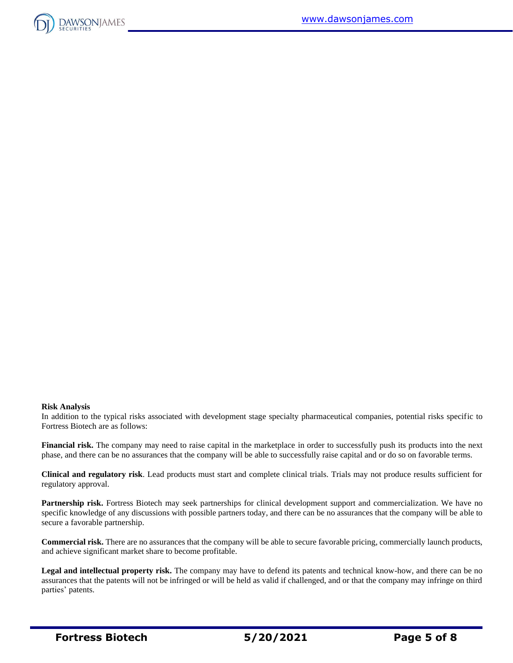

#### **Risk Analysis**

In addition to the typical risks associated with development stage specialty pharmaceutical companies, potential risks specific to Fortress Biotech are as follows:

**Financial risk.** The company may need to raise capital in the marketplace in order to successfully push its products into the next phase, and there can be no assurances that the company will be able to successfully raise capital and or do so on favorable terms.

**Clinical and regulatory risk**. Lead products must start and complete clinical trials. Trials may not produce results sufficient for regulatory approval.

**Partnership risk.** Fortress Biotech may seek partnerships for clinical development support and commercialization. We have no specific knowledge of any discussions with possible partners today, and there can be no assurances that the company will be able to secure a favorable partnership.

**Commercial risk.** There are no assurances that the company will be able to secure favorable pricing, commercially launch products, and achieve significant market share to become profitable.

**Legal and intellectual property risk.** The company may have to defend its patents and technical know-how, and there can be no assurances that the patents will not be infringed or will be held as valid if challenged, and or that the company may infringe on third parties' patents.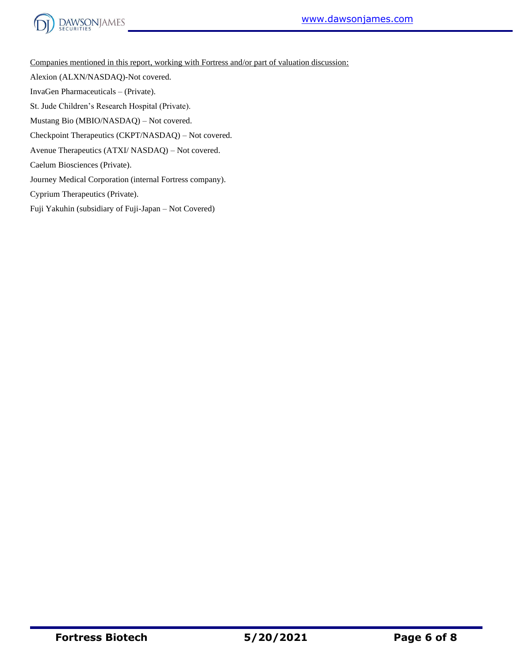



Companies mentioned in this report, working with Fortress and/or part of valuation discussion:

Alexion (ALXN/NASDAQ)-Not covered.

InvaGen Pharmaceuticals – (Private).

St. Jude Children's Research Hospital (Private).

Mustang Bio (MBIO/NASDAQ) – Not covered.

Checkpoint Therapeutics (CKPT/NASDAQ) – Not covered.

Avenue Therapeutics (ATXI/ NASDAQ) – Not covered.

Caelum Biosciences (Private).

Journey Medical Corporation (internal Fortress company).

Cyprium Therapeutics (Private).

Fuji Yakuhin (subsidiary of Fuji-Japan – Not Covered)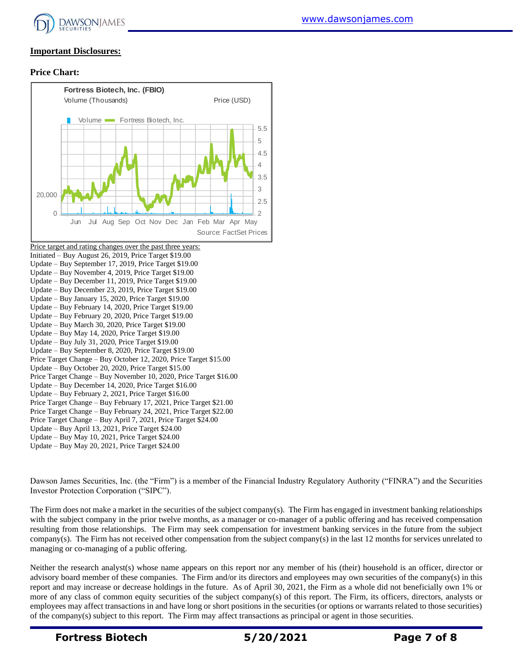

#### **Important Disclosures:**

#### **Price Chart:**



Dawson James Securities, Inc. (the "Firm") is a member of the Financial Industry Regulatory Authority ("FINRA") and the Securities Investor Protection Corporation ("SIPC").

The Firm does not make a market in the securities of the subject company(s). The Firm has engaged in investment banking relationships with the subject company in the prior twelve months, as a manager or co-manager of a public offering and has received compensation resulting from those relationships. The Firm may seek compensation for investment banking services in the future from the subject company(s). The Firm has not received other compensation from the subject company(s) in the last 12 months for services unrelated to managing or co-managing of a public offering.

Neither the research analyst(s) whose name appears on this report nor any member of his (their) household is an officer, director or advisory board member of these companies. The Firm and/or its directors and employees may own securities of the company(s) in this report and may increase or decrease holdings in the future. As of April 30, 2021, the Firm as a whole did not beneficially own 1% or more of any class of common equity securities of the subject company(s) of this report. The Firm, its officers, directors, analysts or employees may affect transactions in and have long or short positions in the securities (or options or warrants related to those securities) of the company(s) subject to this report. The Firm may affect transactions as principal or agent in those securities.